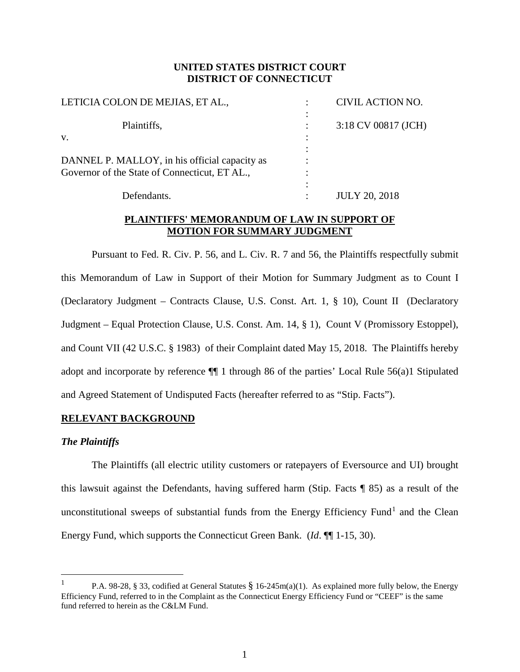# **UNITED STATES DISTRICT COURT DISTRICT OF CONNECTICUT**

| LETICIA COLON DE MEJIAS, ET AL.,              |   | CIVIL ACTION NO.     |
|-----------------------------------------------|---|----------------------|
| Plaintiffs,                                   |   | 3:18 CV 00817 (JCH)  |
| V.                                            |   |                      |
| DANNEL P. MALLOY, in his official capacity as |   |                      |
| Governor of the State of Connecticut, ET AL., |   |                      |
|                                               |   |                      |
| Defendants.                                   | ٠ | <b>JULY 20, 2018</b> |

# **PLAINTIFFS' MEMORANDUM OF LAW IN SUPPORT OF MOTION FOR SUMMARY JUDGMENT**

Pursuant to Fed. R. Civ. P. 56, and L. Civ. R. 7 and 56, the Plaintiffs respectfully submit this Memorandum of Law in Support of their Motion for Summary Judgment as to Count I (Declaratory Judgment – Contracts Clause, U.S. Const. Art. 1, § 10), Count II (Declaratory Judgment – Equal Protection Clause, U.S. Const. Am. 14, § 1), Count V (Promissory Estoppel), and Count VII (42 U.S.C. § 1983) of their Complaint dated May 15, 2018. The Plaintiffs hereby adopt and incorporate by reference ¶¶ 1 through 86 of the parties' Local Rule 56(a)1 Stipulated and Agreed Statement of Undisputed Facts (hereafter referred to as "Stip. Facts").

# **RELEVANT BACKGROUND**

### *The Plaintiffs*

The Plaintiffs (all electric utility customers or ratepayers of Eversource and UI) brought this lawsuit against the Defendants, having suffered harm (Stip. Facts ¶ 85) as a result of the unconstitutional sweeps of substantial funds from the Energy Efficiency Fund<sup>[1](#page-0-0)</sup> and the Clean Energy Fund, which supports the Connecticut Green Bank. (*Id*. ¶¶ 1-15, 30).

<span id="page-0-0"></span> $\frac{1}{1}$ <sup>1</sup> P.A. 98-28, § 33, codified at General Statutes § 16-245m(a)(1). As explained more fully below, the Energy Efficiency Fund, referred to in the Complaint as the Connecticut Energy Efficiency Fund or "CEEF" is the same fund referred to herein as the C&LM Fund.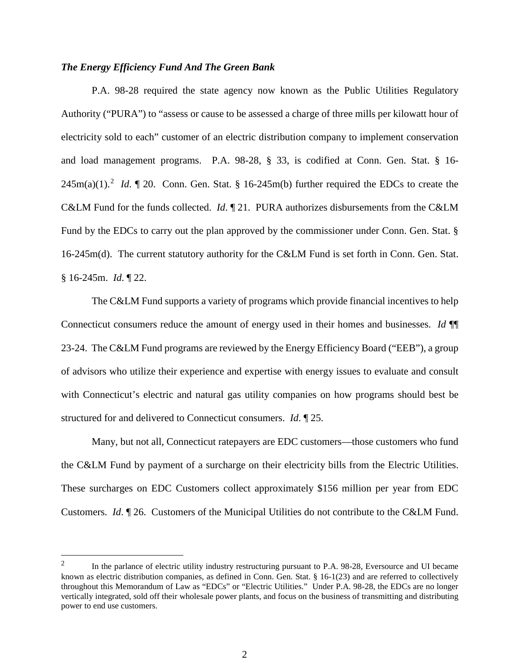### *The Energy Efficiency Fund And The Green Bank*

P.A. 98-28 required the state agency now known as the Public Utilities Regulatory Authority ("PURA") to "assess or cause to be assessed a charge of three mills per kilowatt hour of electricity sold to each" customer of an electric distribution company to implement conservation and load management programs. P.A. 98-28, § 33, is codified at Conn. Gen. Stat. § 16-  $245m(a)(1)$  $245m(a)(1)$ .<sup>2</sup> *Id*.  $\sqrt{ }$  20. Conn. Gen. Stat. § 16-245m(b) further required the EDCs to create the C&LM Fund for the funds collected. *Id*. ¶ 21. PURA authorizes disbursements from the C&LM Fund by the EDCs to carry out the plan approved by the commissioner under Conn. Gen. Stat. § 16-245m(d). The current statutory authority for the C&LM Fund is set forth in Conn. Gen. Stat. § 16-245m. *Id*. ¶ 22.

The C&LM Fund supports a variety of programs which provide financial incentives to help Connecticut consumers reduce the amount of energy used in their homes and businesses. *Id* ¶¶ 23-24. The C&LM Fund programs are reviewed by the [Energy Efficiency Board](https://www.energizect.com/connecticut-energy-efficiency-board) ("EEB"), a group of advisors who utilize their experience and expertise with energy issues to evaluate and consult with Connecticut's electric and natural gas utility companies on how programs should best be structured for and delivered to Connecticut consumers. *Id*. ¶ 25.

Many, but not all, Connecticut ratepayers are EDC customers—those customers who fund the C&LM Fund by payment of a surcharge on their electricity bills from the Electric Utilities. These surcharges on EDC Customers collect approximately \$156 million per year from EDC Customers. *Id*. ¶ 26. Customers of the Municipal Utilities do not contribute to the C&LM Fund.

<span id="page-1-0"></span><sup>&</sup>lt;sup>2</sup> In the parlance of electric utility industry restructuring pursuant to P.A. 98-28, Eversource and UI became known as electric distribution companies, as defined in Conn. Gen. Stat. § 16-1(23) and are referred to collectively throughout this Memorandum of Law as "EDCs" or "Electric Utilities." Under P.A. 98-28, the EDCs are no longer vertically integrated, sold off their wholesale power plants, and focus on the business of transmitting and distributing power to end use customers.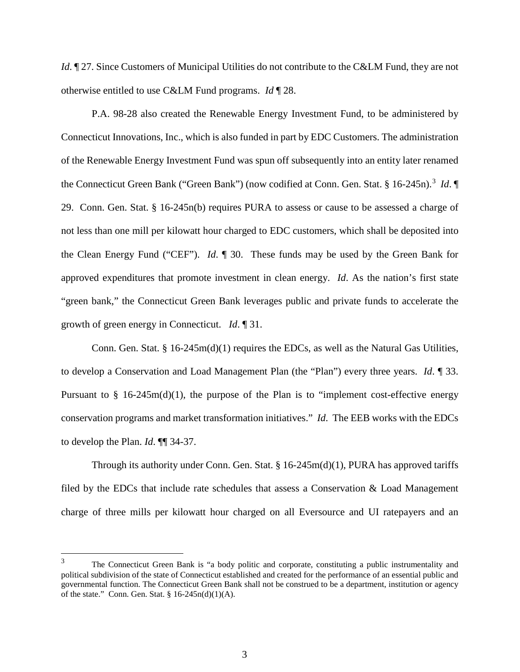*Id.*  $\mathbb{I}$  27. Since Customers of Municipal Utilities do not contribute to the C&LM Fund, they are not otherwise entitled to use C&LM Fund programs. *Id* ¶ 28.

P.A. 98-28 also created the Renewable Energy Investment Fund, to be administered by Connecticut Innovations, Inc., which is also funded in part by EDC Customers. The administration of the Renewable Energy Investment Fund was spun off subsequently into an entity later renamed the Connecticut Green Bank ("Green Bank") (now codified at Conn. Gen. Stat. § 16-245n).<sup>[3](#page-2-0)</sup> *Id*. 29. Conn. Gen. Stat. § 16-245n(b) requires PURA to assess or cause to be assessed a charge of not less than one mill per kilowatt hour charged to EDC customers, which shall be deposited into the Clean Energy Fund ("CEF"). *Id*. ¶ 30. These funds may be used by the Green Bank for approved expenditures that promote investment in clean energy. *Id*. As the nation's first state "green bank," the Connecticut Green Bank leverages public and private funds to accelerate the growth of green energy in Connecticut. *Id*. ¶ 31.

Conn. Gen. Stat. § 16-245m(d)(1) requires the EDCs, as well as the Natural Gas Utilities, to develop a Conservation and Load Management Plan (the "Plan") every three years. *Id*. ¶ 33. Pursuant to  $\S$  16-245m(d)(1), the purpose of the Plan is to "implement cost-effective energy conservation programs and market transformation initiatives." *Id*. The EEB works with the EDCs to develop the Plan. *Id*. ¶¶ 34-37.

Through its authority under Conn. Gen. Stat.  $\S 16-245m(d)(1)$ , PURA has approved tariffs filed by the EDCs that include rate schedules that assess a Conservation & Load Management charge of three mills per kilowatt hour charged on all Eversource and UI ratepayers and an

<span id="page-2-0"></span><sup>&</sup>lt;sup>3</sup> The Connecticut Green Bank is "a body politic and corporate, constituting a public instrumentality and political subdivision of the state of Connecticut established and created for the performance of an essential public and governmental function. The Connecticut Green Bank shall not be construed to be a department, institution or agency of the state." Conn. Gen. Stat. § 16-245n(d)(1)(A).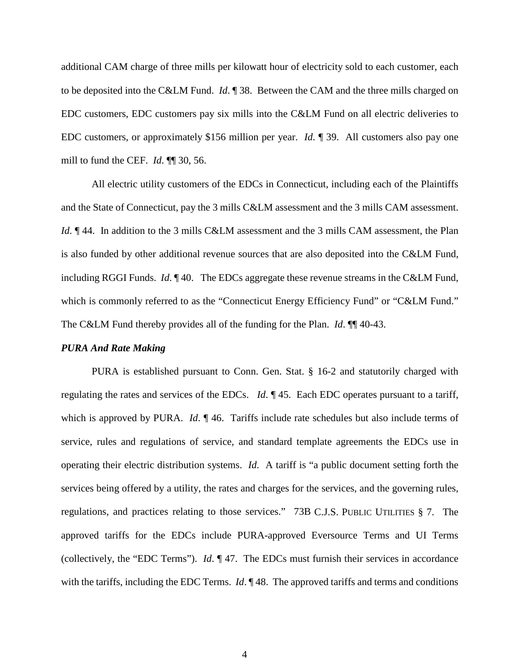additional CAM charge of three mills per kilowatt hour of electricity sold to each customer, each to be deposited into the C&LM Fund. *Id*. ¶ 38. Between the CAM and the three mills charged on EDC customers, EDC customers pay six mills into the C&LM Fund on all electric deliveries to EDC customers, or approximately \$156 million per year. *Id*. ¶ 39. All customers also pay one mill to fund the CEF. *Id*. ¶¶ 30, 56.

All electric utility customers of the EDCs in Connecticut, including each of the Plaintiffs and the State of Connecticut, pay the 3 mills C&LM assessment and the 3 mills CAM assessment. *Id*.  $\mathbb{I}$  44. In addition to the 3 mills C&LM assessment and the 3 mills CAM assessment, the Plan is also funded by other additional revenue sources that are also deposited into the C&LM Fund, including RGGI Funds. *Id*. ¶ 40. The EDCs aggregate these revenue streams in the C&LM Fund, which is commonly referred to as the "Connecticut Energy Efficiency Fund" or "C&LM Fund." The C&LM Fund thereby provides all of the funding for the Plan. *Id*. ¶¶ 40-43.

#### *PURA And Rate Making*

PURA is established pursuant to Conn. Gen. Stat. § 16-2 and statutorily charged with regulating the rates and services of the EDCs. *Id*. ¶ 45. Each EDC operates pursuant to a tariff, which is approved by PURA. *Id*.  $\parallel$  46. Tariffs include rate schedules but also include terms of service, rules and regulations of service, and standard template agreements the EDCs use in operating their electric distribution systems. *Id*. A tariff is "a public document setting forth the services being offered by a utility, the rates and charges for the services, and the governing rules, regulations, and practices relating to those services." 73B C.J.S. PUBLIC UTILITIES § 7. The approved tariffs for the EDCs include PURA-approved Eversource Terms and UI Terms (collectively, the "EDC Terms"). *Id*. ¶ 47.The EDCs must furnish their services in accordance with the tariffs, including the EDC Terms. *Id*. 148. The approved tariffs and terms and conditions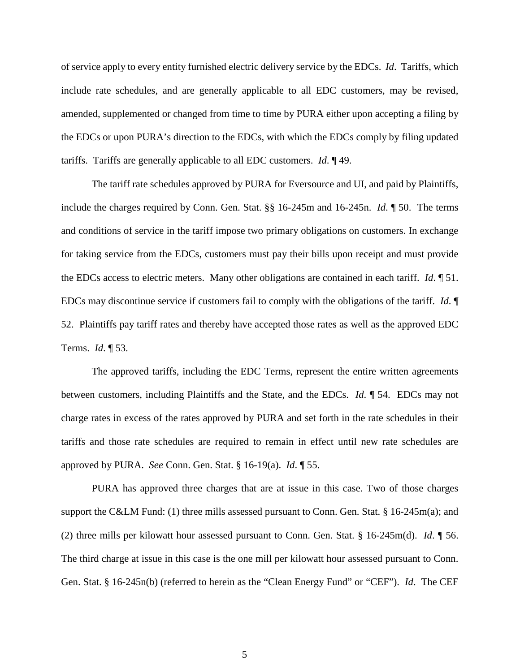of service apply to every entity furnished electric delivery service by the EDCs. *Id*. Tariffs, which include rate schedules, and are generally applicable to all EDC customers, may be revised, amended, supplemented or changed from time to time by PURA either upon accepting a filing by the EDCs or upon PURA's direction to the EDCs, with which the EDCs comply by filing updated tariffs. Tariffs are generally applicable to all EDC customers. *Id*. ¶ 49.

The tariff rate schedules approved by PURA for Eversource and UI, and paid by Plaintiffs, include the charges required by Conn. Gen. Stat. §§ 16-245m and 16-245n. *Id*. ¶ 50. The terms and conditions of service in the tariff impose two primary obligations on customers. In exchange for taking service from the EDCs, customers must pay their bills upon receipt and must provide the EDCs access to electric meters. Many other obligations are contained in each tariff. *Id*. ¶ 51. EDCs may discontinue service if customers fail to comply with the obligations of the tariff. *Id*. ¶ 52. Plaintiffs pay tariff rates and thereby have accepted those rates as well as the approved EDC Terms. *Id*. ¶ 53.

The approved tariffs, including the EDC Terms, represent the entire written agreements between customers, including Plaintiffs and the State, and the EDCs. *Id*. ¶ 54.EDCs may not charge rates in excess of the rates approved by PURA and set forth in the rate schedules in their tariffs and those rate schedules are required to remain in effect until new rate schedules are approved by PURA. *See* Conn. Gen. Stat. § 16-19(a). *Id*. ¶ 55.

PURA has approved three charges that are at issue in this case. Two of those charges support the C&LM Fund: (1) three mills assessed pursuant to Conn. Gen. Stat. § 16-245m(a); and (2) three mills per kilowatt hour assessed pursuant to Conn. Gen. Stat. § 16-245m(d). *Id*. ¶ 56. The third charge at issue in this case is the one mill per kilowatt hour assessed pursuant to Conn. Gen. Stat. § 16-245n(b) (referred to herein as the "Clean Energy Fund" or "CEF"). *Id*. The CEF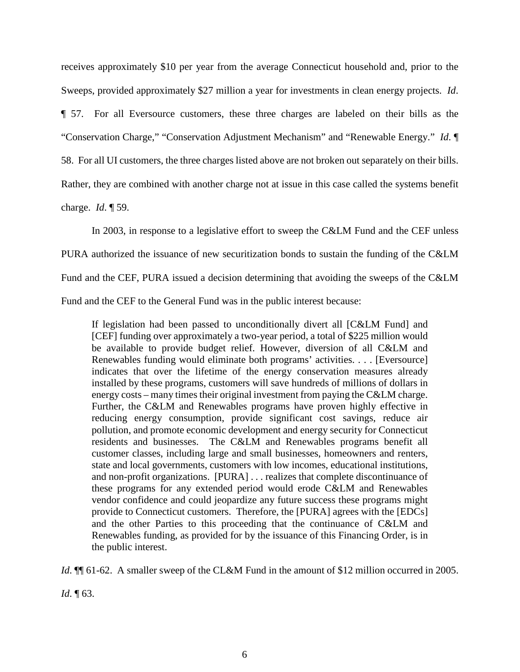receives approximately \$10 per year from the average Connecticut household and, prior to the Sweeps, provided approximately \$27 million a year for investments in clean energy projects. *Id*. ¶ 57. For all Eversource customers, these three charges are labeled on their bills as the "Conservation Charge," "Conservation Adjustment Mechanism" and "Renewable Energy." *Id*. ¶ 58. For all UI customers, the three charges listed above are not broken out separately on their bills. Rather, they are combined with another charge not at issue in this case called the systems benefit

charge. *Id*. ¶ 59.

In 2003, in response to a legislative effort to sweep the C&LM Fund and the CEF unless PURA authorized the issuance of new securitization bonds to sustain the funding of the C&LM Fund and the CEF, PURA issued a decision determining that avoiding the sweeps of the C&LM Fund and the CEF to the General Fund was in the public interest because:

If legislation had been passed to unconditionally divert all [C&LM Fund] and [CEF] funding over approximately a two-year period, a total of \$225 million would be available to provide budget relief. However, diversion of all C&LM and Renewables funding would eliminate both programs' activities. . . . [Eversource] indicates that over the lifetime of the energy conservation measures already installed by these programs, customers will save hundreds of millions of dollars in energy costs – many times their original investment from paying the C&LM charge. Further, the C&LM and Renewables programs have proven highly effective in reducing energy consumption, provide significant cost savings, reduce air pollution, and promote economic development and energy security for Connecticut residents and businesses. The C&LM and Renewables programs benefit all customer classes, including large and small businesses, homeowners and renters, state and local governments, customers with low incomes, educational institutions, and non-profit organizations. [PURA] . . . realizes that complete discontinuance of these programs for any extended period would erode C&LM and Renewables vendor confidence and could jeopardize any future success these programs might provide to Connecticut customers. Therefore, the [PURA] agrees with the [EDCs] and the other Parties to this proceeding that the continuance of C&LM and Renewables funding, as provided for by the issuance of this Financing Order, is in the public interest.

*Id*.  $\mathbb{I}$  61-62. A smaller sweep of the CL&M Fund in the amount of \$12 million occurred in 2005.

*Id*. ¶ 63.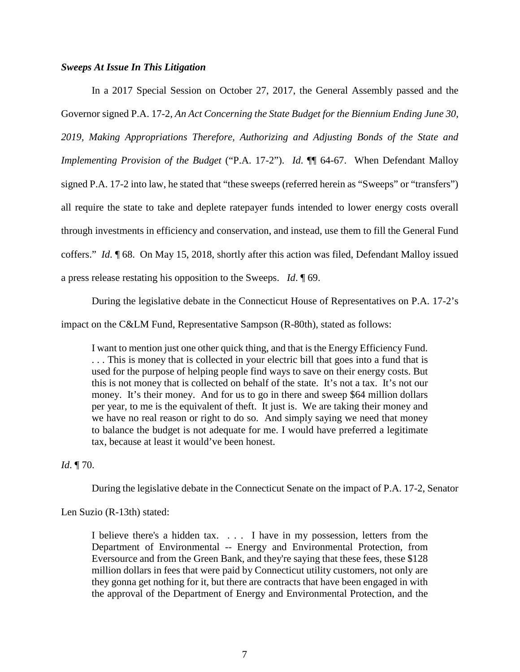### *Sweeps At Issue In This Litigation*

In a 2017 Special Session on October 27, 2017, the General Assembly passed and the Governor signed P.A. 17-2, *An Act Concerning the State Budget for the Biennium Ending June 30, 2019, Making Appropriations Therefore, Authorizing and Adjusting Bonds of the State and Implementing Provision of the Budget* ("P.A. 17-2"). *Id*. ¶¶ 64-67. When Defendant Malloy signed P.A. 17-2 into law, he stated that "these sweeps (referred herein as "Sweeps" or "transfers") all require the state to take and deplete ratepayer funds intended to lower energy costs overall through investments in efficiency and conservation, and instead, use them to fill the General Fund coffers." *Id*. ¶ 68. On May 15, 2018, shortly after this action was filed, Defendant Malloy issued a press release restating his opposition to the Sweeps. *Id*. ¶ 69.

During the legislative debate in the Connecticut House of Representatives on P.A. 17-2's

impact on the C&LM Fund, Representative Sampson (R-80th), stated as follows:

I want to mention just one other quick thing, and that is the Energy Efficiency Fund. . . . This is money that is collected in your electric bill that goes into a fund that is used for the purpose of helping people find ways to save on their energy costs. But this is not money that is collected on behalf of the state. It's not a tax. It's not our money. It's their money. And for us to go in there and sweep \$64 million dollars per year, to me is the equivalent of theft. It just is. We are taking their money and we have no real reason or right to do so. And simply saying we need that money to balance the budget is not adequate for me. I would have preferred a legitimate tax, because at least it would've been honest.

*Id*. ¶ 70.

During the legislative debate in the Connecticut Senate on the impact of P.A. 17-2, Senator

Len Suzio (R-13th) stated:

I believe there's a hidden tax. . . . I have in my possession, letters from the Department of Environmental -- Energy and Environmental Protection, from Eversource and from the Green Bank, and they're saying that these fees, these \$128 million dollars in fees that were paid by Connecticut utility customers, not only are they gonna get nothing for it, but there are contracts that have been engaged in with the approval of the Department of Energy and Environmental Protection, and the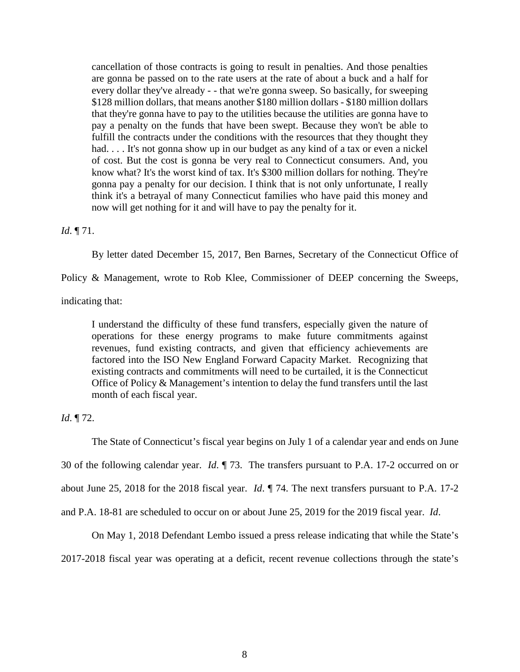cancellation of those contracts is going to result in penalties. And those penalties are gonna be passed on to the rate users at the rate of about a buck and a half for every dollar they've already - - that we're gonna sweep. So basically, for sweeping \$128 million dollars, that means another \$180 million dollars - \$180 million dollars that they're gonna have to pay to the utilities because the utilities are gonna have to pay a penalty on the funds that have been swept. Because they won't be able to fulfill the contracts under the conditions with the resources that they thought they had. . . . It's not gonna show up in our budget as any kind of a tax or even a nickel of cost. But the cost is gonna be very real to Connecticut consumers. And, you know what? It's the worst kind of tax. It's \$300 million dollars for nothing. They're gonna pay a penalty for our decision. I think that is not only unfortunate, I really think it's a betrayal of many Connecticut families who have paid this money and now will get nothing for it and will have to pay the penalty for it.

### *Id*. ¶ 71.

By letter dated December 15, 2017, Ben Barnes, Secretary of the Connecticut Office of

Policy & Management, wrote to Rob Klee, Commissioner of DEEP concerning the Sweeps,

indicating that:

I understand the difficulty of these fund transfers, especially given the nature of operations for these energy programs to make future commitments against revenues, fund existing contracts, and given that efficiency achievements are factored into the ISO New England Forward Capacity Market. Recognizing that existing contracts and commitments will need to be curtailed, it is the Connecticut Office of Policy & Management's intention to delay the fund transfers until the last month of each fiscal year.

*Id*. ¶ 72.

The State of Connecticut's fiscal year begins on July 1 of a calendar year and ends on June

30 of the following calendar year. *Id*. ¶ 73. The transfers pursuant to P.A. 17-2 occurred on or

about June 25, 2018 for the 2018 fiscal year. *Id*. ¶ 74. The next transfers pursuant to P.A. 17-2

and P.A. 18-81 are scheduled to occur on or about June 25, 2019 for the 2019 fiscal year. *Id*.

On May 1, 2018 Defendant Lembo issued a press release indicating that while the State's

2017-2018 fiscal year was operating at a deficit, recent revenue collections through the state's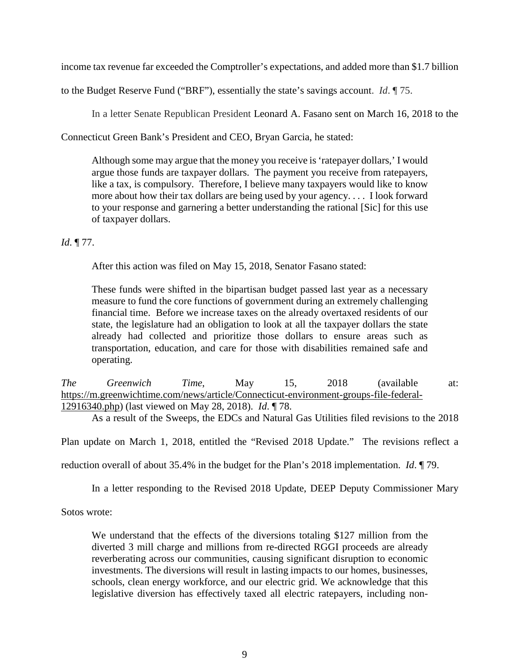income tax revenue far exceeded the Comptroller's expectations, and added more than \$1.7 billion

to the Budget Reserve Fund ("BRF"), essentially the state's savings account. *Id*. ¶ 75.

In a letter Senate Republican President Leonard A. Fasano sent on March 16, 2018 to the

Connecticut Green Bank's President and CEO, Bryan Garcia, he stated:

Although some may argue that the money you receive is 'ratepayer dollars,' I would argue those funds are taxpayer dollars. The payment you receive from ratepayers, like a tax, is compulsory. Therefore, I believe many taxpayers would like to know more about how their tax dollars are being used by your agency. . . . I look forward to your response and garnering a better understanding the rational [Sic] for this use of taxpayer dollars.

# *Id*. ¶ 77.

After this action was filed on May 15, 2018, Senator Fasano stated:

These funds were shifted in the bipartisan budget passed last year as a necessary measure to fund the core functions of government during an extremely challenging financial time. Before we increase taxes on the already overtaxed residents of our state, the legislature had an obligation to look at all the taxpayer dollars the state already had collected and prioritize those dollars to ensure areas such as transportation, education, and care for those with disabilities remained safe and operating.

*The Greenwich Time*, May 15, 2018 (available at: [https://m.greenwichtime.com/news/article/Connecticut-environment-groups-file-federal-](https://m.greenwichtime.com/news/article/Connecticut-environment-groups-file-federal-12916340.php)[12916340.php\)](https://m.greenwichtime.com/news/article/Connecticut-environment-groups-file-federal-12916340.php) (last viewed on May 28, 2018). *Id*. ¶ 78.

As a result of the Sweeps, the EDCs and Natural Gas Utilities filed revisions to the 2018

Plan update on March 1, 2018, entitled the "Revised 2018 Update." The revisions reflect a

reduction overall of about 35.4% in the budget for the Plan's 2018 implementation. *Id*. ¶ 79.

In a letter responding to the Revised 2018 Update, DEEP Deputy Commissioner Mary

Sotos wrote:

We understand that the effects of the diversions totaling \$127 million from the diverted 3 mill charge and millions from re-directed RGGI proceeds are already reverberating across our communities, causing significant disruption to economic investments. The diversions will result in lasting impacts to our homes, businesses, schools, clean energy workforce, and our electric grid. We acknowledge that this legislative diversion has effectively taxed all electric ratepayers, including non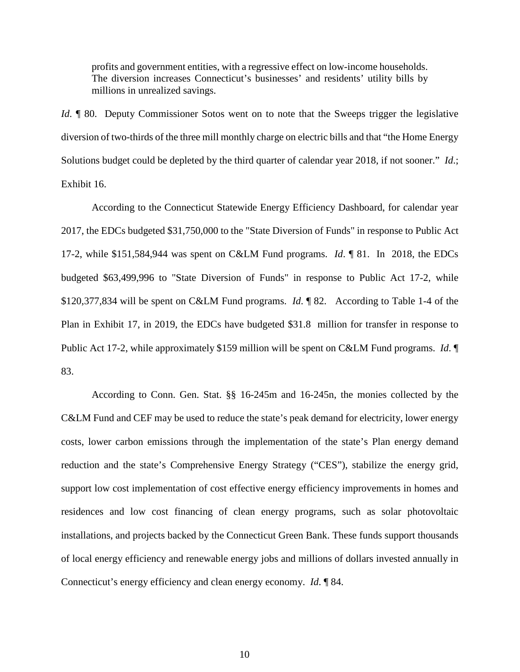profits and government entities, with a regressive effect on low-income households. The diversion increases Connecticut's businesses' and residents' utility bills by millions in unrealized savings.

*Id.* ¶ 80. Deputy Commissioner Sotos went on to note that the Sweeps trigger the legislative diversion of two-thirds of the three mill monthly charge on electric bills and that "the Home Energy Solutions budget could be depleted by the third quarter of calendar year 2018, if not sooner." *Id*.; Exhibit 16.

According to the Connecticut Statewide Energy Efficiency Dashboard, for calendar year 2017, the EDCs budgeted \$31,750,000 to the "State Diversion of Funds" in response to Public Act 17-2, while \$151,584,944 was spent on C&LM Fund programs. *Id*. ¶ 81. In 2018, the EDCs budgeted \$63,499,996 to "State Diversion of Funds" in response to Public Act 17-2, while \$120,377,834 will be spent on C&LM Fund programs. *Id*. ¶ 82. According to Table 1-4 of the Plan in Exhibit 17, in 2019, the EDCs have budgeted \$31.8 million for transfer in response to Public Act 17-2, while approximately \$159 million will be spent on C&LM Fund programs. *Id*. ¶ 83.

According to Conn. Gen. Stat. §§ 16-245m and 16-245n, the monies collected by the C&LM Fund and CEF may be used to reduce the state's peak demand for electricity, lower energy costs, lower carbon emissions through the implementation of the state's Plan energy demand reduction and the state's Comprehensive Energy Strategy ("CES"), stabilize the energy grid, support low cost implementation of cost effective energy efficiency improvements in homes and residences and low cost financing of clean energy programs, such as solar photovoltaic installations, and projects backed by the Connecticut Green Bank. These funds support thousands of local energy efficiency and renewable energy jobs and millions of dollars invested annually in Connecticut's energy efficiency and clean energy economy. *Id*. ¶ 84.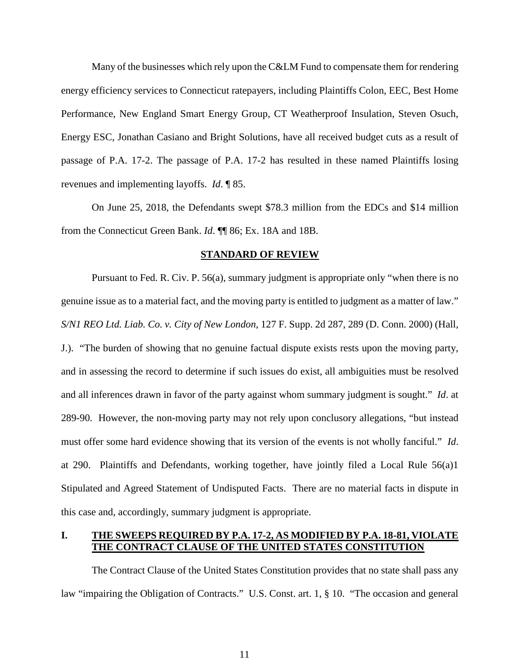Many of the businesses which rely upon the C&LM Fund to compensate them for rendering energy efficiency services to Connecticut ratepayers, including Plaintiffs Colon, EEC, Best Home Performance, New England Smart Energy Group, CT Weatherproof Insulation, Steven Osuch, Energy ESC, Jonathan Casiano and Bright Solutions, have all received budget cuts as a result of passage of P.A. 17-2. The passage of P.A. 17-2 has resulted in these named Plaintiffs losing revenues and implementing layoffs. *Id*. ¶ 85.

On June 25, 2018, the Defendants swept \$78.3 million from the EDCs and \$14 million from the Connecticut Green Bank. *Id*. ¶¶ 86; Ex. 18A and 18B.

#### **STANDARD OF REVIEW**

Pursuant to Fed. R. Civ. P. 56(a), summary judgment is appropriate only "when there is no genuine issue as to a material fact, and the moving party is entitled to judgment as a matter of law." *S/N1 REO Ltd. Liab. Co. v. City of New London*, 127 F. Supp. 2d 287, 289 (D. Conn. 2000) (Hall, J.). "The burden of showing that no genuine factual dispute exists rests upon the moving party, and in assessing the record to determine if such issues do exist, all ambiguities must be resolved and all inferences drawn in favor of the party against whom summary judgment is sought." *Id*. at 289-90. However, the non-moving party may not rely upon conclusory allegations, "but instead must offer some hard evidence showing that its version of the events is not wholly fanciful." *Id*. at 290. Plaintiffs and Defendants, working together, have jointly filed a Local Rule 56(a)1 Stipulated and Agreed Statement of Undisputed Facts. There are no material facts in dispute in this case and, accordingly, summary judgment is appropriate.

# **I. THE SWEEPS REQUIRED BY P.A. 17-2, AS MODIFIED BY P.A. 18-81, VIOLATE THE CONTRACT CLAUSE OF THE UNITED STATES CONSTITUTION**

The Contract Clause of the United States Constitution provides that no state shall pass any law "impairing the Obligation of Contracts." U.S. Const. art. 1, § 10. "The occasion and general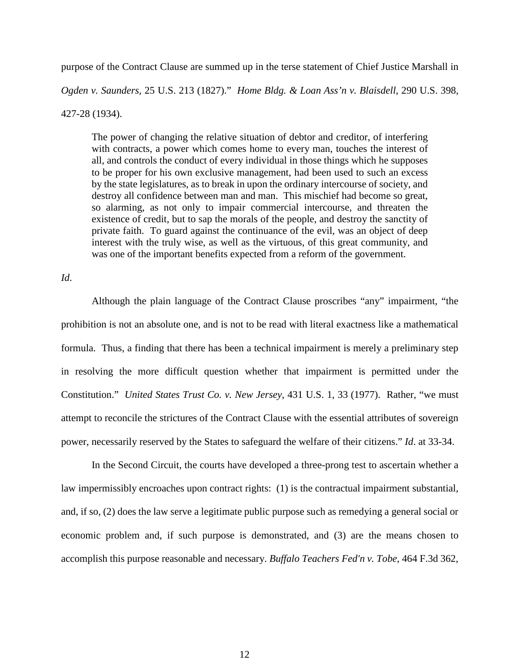purpose of the Contract Clause are summed up in the terse statement of Chief Justice Marshall in

*Ogden v. Saunders*, 25 U.S. 213 (1827)." *Home Bldg. & Loan Ass'n v. Blaisdell*, 290 U.S. 398,

427-28 (1934).

The power of changing the relative situation of debtor and creditor, of interfering with contracts, a power which comes home to every man, touches the interest of all, and controls the conduct of every individual in those things which he supposes to be proper for his own exclusive management, had been used to such an excess by the state legislatures, as to break in upon the ordinary intercourse of society, and destroy all confidence between man and man. This mischief had become so great, so alarming, as not only to impair commercial intercourse, and threaten the existence of credit, but to sap the morals of the people, and destroy the sanctity of private faith. To guard against the continuance of the evil, was an object of deep interest with the truly wise, as well as the virtuous, of this great community, and was one of the important benefits expected from a reform of the government.

*Id*.

Although the plain language of the Contract Clause proscribes "any" impairment, "the prohibition is not an absolute one, and is not to be read with literal exactness like a mathematical formula. Thus, a finding that there has been a technical impairment is merely a preliminary step in resolving the more difficult question whether that impairment is permitted under the Constitution." *United States Trust Co. v. New Jersey*, 431 U.S. 1, 33 (1977). Rather, "we must attempt to reconcile the strictures of the Contract Clause with the essential attributes of sovereign power, necessarily reserved by the States to safeguard the welfare of their citizens." *Id*. at 33-34.

In the Second Circuit, the courts have developed a three-prong test to ascertain whether a law impermissibly encroaches upon contract rights: (1) is the contractual impairment substantial, and, if so, (2) does the law serve a legitimate public purpose such as remedying a general social or economic problem and, if such purpose is demonstrated, and (3) are the means chosen to accomplish this purpose reasonable and necessary. *Buffalo Teachers Fed'n v. Tobe*, 464 F.3d 362,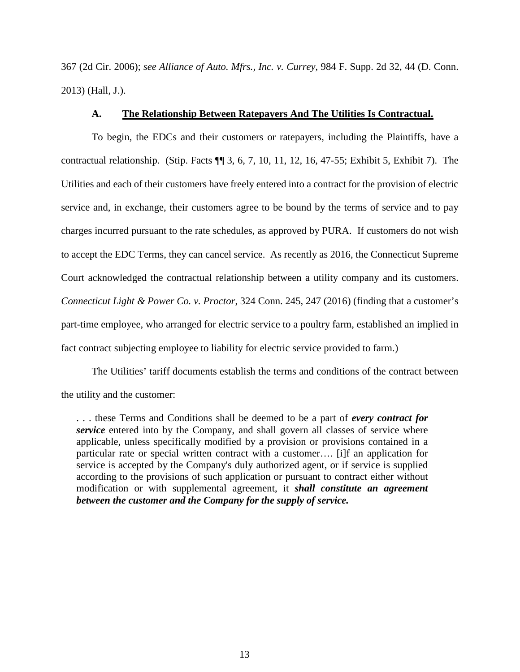367 (2d Cir. 2006); *see Alliance of Auto. Mfrs., Inc. v. Currey*, 984 F. Supp. 2d 32, 44 (D. Conn. 2013) (Hall, J.).

# **A. The Relationship Between Ratepayers And The Utilities Is Contractual.**

To begin, the EDCs and their customers or ratepayers, including the Plaintiffs, have a contractual relationship. (Stip. Facts ¶¶ 3, 6, 7, 10, 11, 12, 16, 47-55; Exhibit 5, Exhibit 7). The Utilities and each of their customers have freely entered into a contract for the provision of electric service and, in exchange, their customers agree to be bound by the terms of service and to pay charges incurred pursuant to the rate schedules, as approved by PURA. If customers do not wish to accept the EDC Terms, they can cancel service. As recently as 2016, the Connecticut Supreme Court acknowledged the contractual relationship between a utility company and its customers. *Connecticut Light & Power Co. v. Proctor*, 324 Conn. 245, 247 (2016) (finding that a customer's part-time employee, who arranged for electric service to a poultry farm, established an implied in fact contract subjecting employee to liability for electric service provided to farm.)

The Utilities' tariff documents establish the terms and conditions of the contract between the utility and the customer:

. . . these Terms and Conditions shall be deemed to be a part of *every contract for service* entered into by the Company, and shall govern all classes of service where applicable, unless specifically modified by a provision or provisions contained in a particular rate or special written contract with a customer…. [i]f an application for service is accepted by the Company's duly authorized agent, or if service is supplied according to the provisions of such application or pursuant to contract either without modification or with supplemental agreement, it *shall constitute an agreement between the customer and the Company for the supply of service.*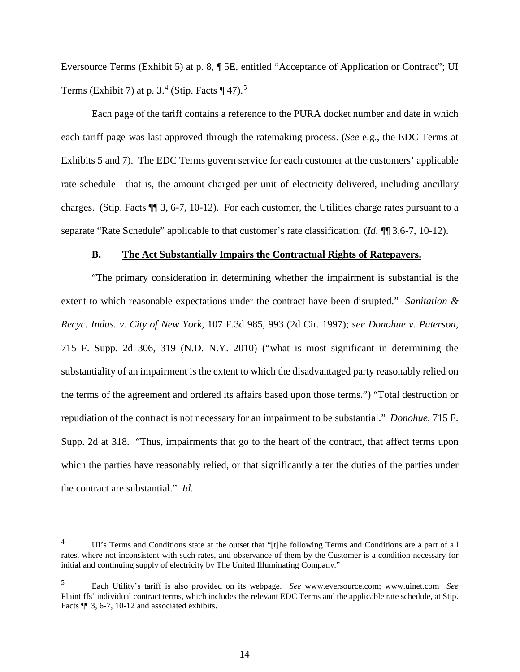Eversource Terms (Exhibit 5) at p. 8, ¶ 5E, entitled "Acceptance of Application or Contract"; UI Terms (Exhibit 7) at p.  $3.^4$  $3.^4$  (Stip. Facts  $\P$  47).<sup>[5](#page-13-1)</sup>

Each page of the tariff contains a reference to the PURA docket number and date in which each tariff page was last approved through the ratemaking process. (*See* e.g., the EDC Terms at Exhibits 5 and 7). The EDC Terms govern service for each customer at the customers' applicable rate schedule—that is, the amount charged per unit of electricity delivered, including ancillary charges. (Stip. Facts ¶¶ 3, 6-7, 10-12). For each customer, the Utilities charge rates pursuant to a separate "Rate Schedule" applicable to that customer's rate classification. (*Id*. ¶¶ 3,6-7, 10-12).

### **B. The Act Substantially Impairs the Contractual Rights of Ratepayers.**

"The primary consideration in determining whether the impairment is substantial is the extent to which reasonable expectations under the contract have been disrupted." *Sanitation & Recyc. Indus. v. City of New York*, 107 F.3d 985, 993 (2d Cir. 1997); *see Donohue v. Paterson*, 715 F. Supp. 2d 306, 319 (N.D. N.Y. 2010) ("what is most significant in determining the substantiality of an impairment is the extent to which the disadvantaged party reasonably relied on the terms of the agreement and ordered its affairs based upon those terms.") "Total destruction or repudiation of the contract is not necessary for an impairment to be substantial." *Donohue*, 715 F. Supp. 2d at 318. "Thus, impairments that go to the heart of the contract, that affect terms upon which the parties have reasonably relied, or that significantly alter the duties of the parties under the contract are substantial." *Id*.

<span id="page-13-0"></span><sup>&</sup>lt;sup>4</sup> UI's Terms and Conditions state at the outset that "[t]he following Terms and Conditions are a part of all rates, where not inconsistent with such rates, and observance of them by the Customer is a condition necessary for initial and continuing supply of electricity by The United Illuminating Company."

<span id="page-13-1"></span><sup>5</sup> Each Utility's tariff is also provided on its webpage. *See* [www.eversource.com;](http://www.eversource.com/) [www.uinet.com](http://www.uinet.com/) *See*  Plaintiffs' individual contract terms, which includes the relevant EDC Terms and the applicable rate schedule, at Stip. Facts  $\P$  3, 6-7, 10-12 and associated exhibits.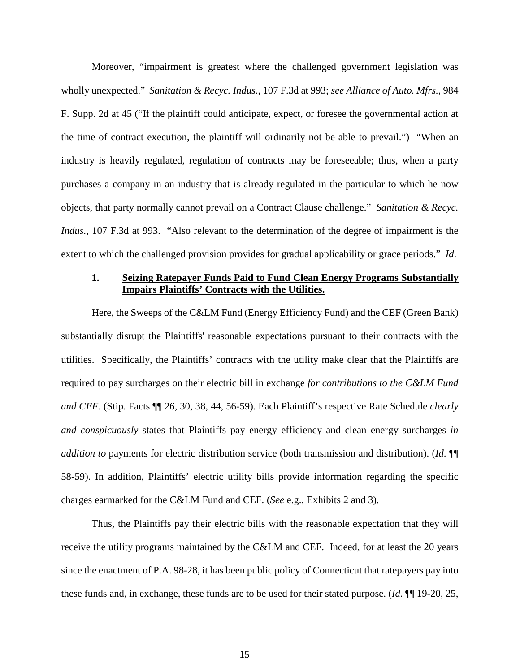Moreover, "impairment is greatest where the challenged government legislation was wholly unexpected." *Sanitation & Recyc. Indus.*, 107 F.3d at 993; *see Alliance of Auto. Mfrs.*, 984 F. Supp. 2d at 45 ("If the plaintiff could anticipate, expect, or foresee the governmental action at the time of contract execution, the plaintiff will ordinarily not be able to prevail.") "When an industry is heavily regulated, regulation of contracts may be foreseeable; thus, when a party purchases a company in an industry that is already regulated in the particular to which he now objects, that party normally cannot prevail on a Contract Clause challenge." *Sanitation & Recyc. Indus.*, 107 F.3d at 993. "Also relevant to the determination of the degree of impairment is the extent to which the challenged provision provides for gradual applicability or grace periods." *Id*.

# **1. Seizing Ratepayer Funds Paid to Fund Clean Energy Programs Substantially Impairs Plaintiffs' Contracts with the Utilities.**

Here, the Sweeps of the C&LM Fund (Energy Efficiency Fund) and the CEF (Green Bank) substantially disrupt the Plaintiffs' reasonable expectations pursuant to their contracts with the utilities. Specifically, the Plaintiffs' contracts with the utility make clear that the Plaintiffs are required to pay surcharges on their electric bill in exchange *for contributions to the C&LM Fund and CEF*. (Stip. Facts ¶¶ 26, 30, 38, 44, 56-59). Each Plaintiff's respective Rate Schedule *clearly and conspicuously* states that Plaintiffs pay energy efficiency and clean energy surcharges *in addition to* payments for electric distribution service (both transmission and distribution). (*Id*. ¶¶ 58-59). In addition, Plaintiffs' electric utility bills provide information regarding the specific charges earmarked for the C&LM Fund and CEF. (*See* e.g., Exhibits 2 and 3).

Thus, the Plaintiffs pay their electric bills with the reasonable expectation that they will receive the utility programs maintained by the C&LM and CEF. Indeed, for at least the 20 years since the enactment of P.A. 98-28, it has been public policy of Connecticut that ratepayers pay into these funds and, in exchange, these funds are to be used for their stated purpose. (*Id*. ¶¶ 19-20, 25,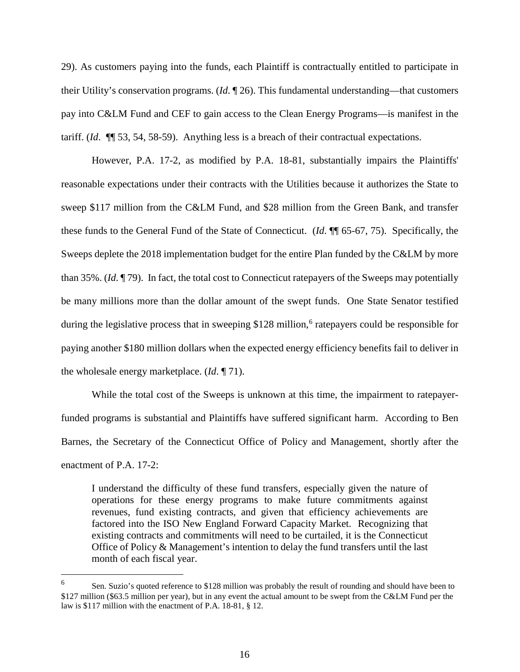29). As customers paying into the funds, each Plaintiff is contractually entitled to participate in their Utility's conservation programs. (*Id*. ¶ 26). This fundamental understanding—that customers pay into C&LM Fund and CEF to gain access to the Clean Energy Programs—is manifest in the tariff. (*Id*. ¶¶ 53, 54, 58-59). Anything less is a breach of their contractual expectations.

However, P.A. 17-2, as modified by P.A. 18-81, substantially impairs the Plaintiffs' reasonable expectations under their contracts with the Utilities because it authorizes the State to sweep \$117 million from the C&LM Fund, and \$28 million from the Green Bank, and transfer these funds to the General Fund of the State of Connecticut. (*Id*. ¶¶ 65-67, 75). Specifically, the Sweeps deplete the 2018 implementation budget for the entire Plan funded by the C&LM by more than 35%. (*Id*. ¶ 79). In fact, the total cost to Connecticut ratepayers of the Sweeps may potentially be many millions more than the dollar amount of the swept funds. One State Senator testified during the legislative process that in sweeping  $$128$  million,<sup>[6](#page-15-0)</sup> ratepayers could be responsible for paying another \$180 million dollars when the expected energy efficiency benefits fail to deliver in the wholesale energy marketplace. (*Id*. ¶ 71).

While the total cost of the Sweeps is unknown at this time, the impairment to ratepayerfunded programs is substantial and Plaintiffs have suffered significant harm. According to Ben Barnes, the Secretary of the Connecticut Office of Policy and Management, shortly after the enactment of P.A. 17-2:

I understand the difficulty of these fund transfers, especially given the nature of operations for these energy programs to make future commitments against revenues, fund existing contracts, and given that efficiency achievements are factored into the ISO New England Forward Capacity Market. Recognizing that existing contracts and commitments will need to be curtailed, it is the Connecticut Office of Policy & Management's intention to delay the fund transfers until the last month of each fiscal year.

<span id="page-15-0"></span><sup>&</sup>lt;sup>6</sup> Sen. Suzio's quoted reference to \$128 million was probably the result of rounding and should have been to \$127 million (\$63.5 million per year), but in any event the actual amount to be swept from the C&LM Fund per the law is \$117 million with the enactment of P.A. 18-81, § 12.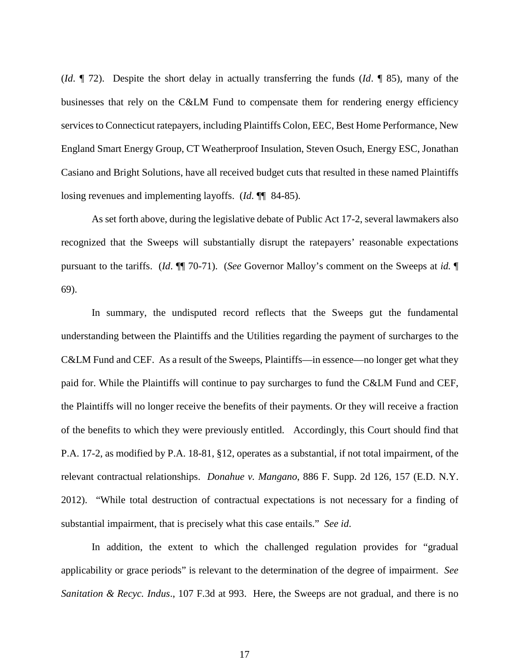(*Id*. ¶ 72). Despite the short delay in actually transferring the funds (*Id*. ¶ 85), many of the businesses that rely on the C&LM Fund to compensate them for rendering energy efficiency services to Connecticut ratepayers, including Plaintiffs Colon, EEC, Best Home Performance, New England Smart Energy Group, CT Weatherproof Insulation, Steven Osuch, Energy ESC, Jonathan Casiano and Bright Solutions, have all received budget cuts that resulted in these named Plaintiffs losing revenues and implementing layoffs. (*Id*. ¶¶ 84-85).

As set forth above, during the legislative debate of Public Act 17-2, several lawmakers also recognized that the Sweeps will substantially disrupt the ratepayers' reasonable expectations pursuant to the tariffs. (*Id*. ¶¶ 70-71). (*See* Governor Malloy's comment on the Sweeps at *id.* ¶ 69).

In summary, the undisputed record reflects that the Sweeps gut the fundamental understanding between the Plaintiffs and the Utilities regarding the payment of surcharges to the C&LM Fund and CEF. As a result of the Sweeps, Plaintiffs—in essence—no longer get what they paid for. While the Plaintiffs will continue to pay surcharges to fund the C&LM Fund and CEF, the Plaintiffs will no longer receive the benefits of their payments. Or they will receive a fraction of the benefits to which they were previously entitled. Accordingly, this Court should find that P.A. 17-2, as modified by P.A. 18-81, §12, operates as a substantial, if not total impairment, of the relevant contractual relationships. *Donahue v. Mangano*, 886 F. Supp. 2d 126, 157 (E.D. N.Y. 2012). "While total destruction of contractual expectations is not necessary for a finding of substantial impairment, that is precisely what this case entails." *See id*.

In addition, the extent to which the challenged regulation provides for "gradual applicability or grace periods" is relevant to the determination of the degree of impairment. *See Sanitation & Recyc. Indus*., 107 F.3d at 993. Here, the Sweeps are not gradual, and there is no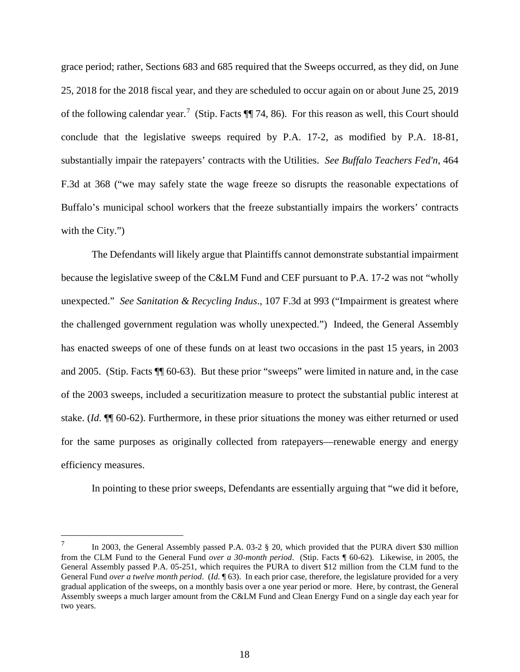grace period; rather, Sections 683 and 685 required that the Sweeps occurred, as they did, on June 25, 2018 for the 2018 fiscal year, and they are scheduled to occur again on or about June 25, 2019 of the following calendar year.<sup>[7](#page-17-0)</sup> (Stip. Facts  $\P$  74, 86). For this reason as well, this Court should conclude that the legislative sweeps required by P.A. 17-2, as modified by P.A. 18-81, substantially impair the ratepayers' contracts with the Utilities. *See Buffalo Teachers Fed'n*, 464 F.3d at 368 ("we may safely state the wage freeze so disrupts the reasonable expectations of Buffalo's municipal school workers that the freeze substantially impairs the workers' contracts with the City."

The Defendants will likely argue that Plaintiffs cannot demonstrate substantial impairment because the legislative sweep of the C&LM Fund and CEF pursuant to P.A. 17-2 was not "wholly unexpected." *See Sanitation & Recycling Indus*., 107 F.3d at 993 ("Impairment is greatest where the challenged government regulation was wholly unexpected.") Indeed, the General Assembly has enacted sweeps of one of these funds on at least two occasions in the past 15 years, in 2003 and 2005. (Stip. Facts ¶¶ 60-63). But these prior "sweeps" were limited in nature and, in the case of the 2003 sweeps, included a securitization measure to protect the substantial public interest at stake. (*Id*. ¶¶ 60-62). Furthermore, in these prior situations the money was either returned or used for the same purposes as originally collected from ratepayers—renewable energy and energy efficiency measures.

In pointing to these prior sweeps, Defendants are essentially arguing that "we did it before,

<span id="page-17-0"></span><sup>&</sup>lt;sup>7</sup> In 2003, the General Assembly passed P.A. 03-2 § 20, which provided that the PURA divert \$30 million from the CLM Fund to the General Fund *over a 30-month period*. (Stip. Facts ¶ 60-62). Likewise, in 2005, the General Assembly passed P.A. 05-251, which requires the PURA to divert \$12 million from the CLM fund to the General Fund *over a twelve month period*. (*Id*. ¶ 63). In each prior case, therefore, the legislature provided for a very gradual application of the sweeps, on a monthly basis over a one year period or more. Here, by contrast, the General Assembly sweeps a much larger amount from the C&LM Fund and Clean Energy Fund on a single day each year for two years.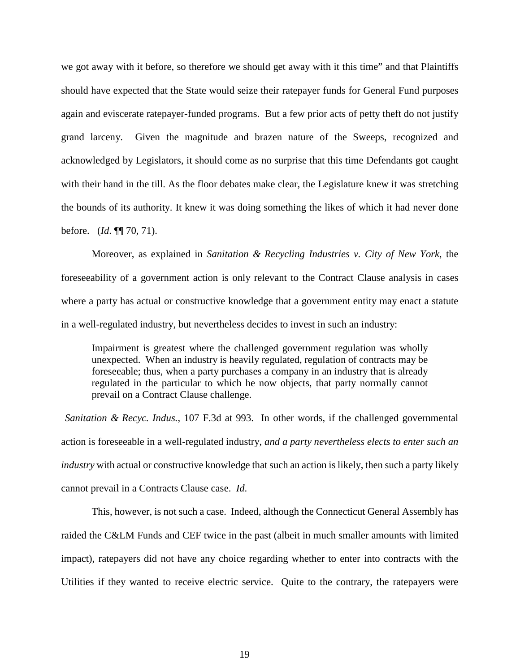we got away with it before, so therefore we should get away with it this time" and that Plaintiffs should have expected that the State would seize their ratepayer funds for General Fund purposes again and eviscerate ratepayer-funded programs. But a few prior acts of petty theft do not justify grand larceny. Given the magnitude and brazen nature of the Sweeps, recognized and acknowledged by Legislators, it should come as no surprise that this time Defendants got caught with their hand in the till. As the floor debates make clear, the Legislature knew it was stretching the bounds of its authority. It knew it was doing something the likes of which it had never done before. (*Id*. ¶¶ 70, 71).

Moreover, as explained in *Sanitation & Recycling Industries v. City of New York*, the foreseeability of a government action is only relevant to the Contract Clause analysis in cases where a party has actual or constructive knowledge that a government entity may enact a statute in a well-regulated industry, but nevertheless decides to invest in such an industry:

Impairment is greatest where the challenged government regulation was wholly unexpected. When an industry is heavily regulated, regulation of contracts may be foreseeable; thus, when a party purchases a company in an industry that is already regulated in the particular to which he now objects, that party normally cannot prevail on a Contract Clause challenge.

*Sanitation & Recyc. Indus.*, 107 F.3d at 993. In other words, if the challenged governmental action is foreseeable in a well-regulated industry, *and a party nevertheless elects to enter such an industry* with actual or constructive knowledge that such an action is likely, then such a party likely cannot prevail in a Contracts Clause case. *Id*.

This, however, is not such a case. Indeed, although the Connecticut General Assembly has raided the C&LM Funds and CEF twice in the past (albeit in much smaller amounts with limited impact), ratepayers did not have any choice regarding whether to enter into contracts with the Utilities if they wanted to receive electric service. Quite to the contrary, the ratepayers were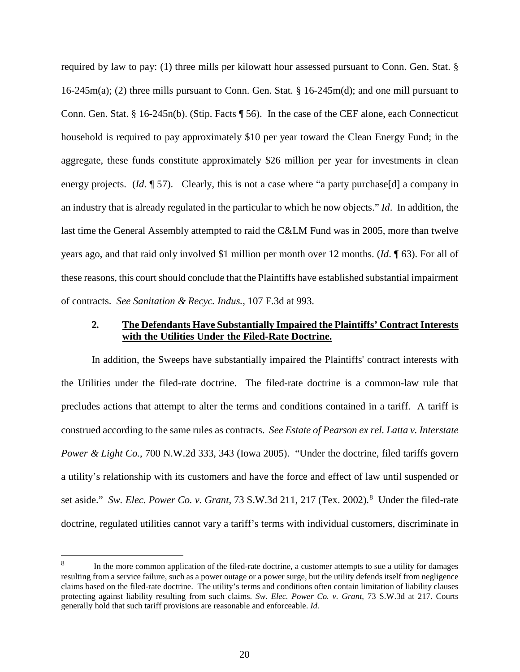required by law to pay: (1) three mills per kilowatt hour assessed pursuant to Conn. Gen. Stat. § 16-245m(a); (2) three mills pursuant to Conn. Gen. Stat. § 16-245m(d); and one mill pursuant to Conn. Gen. Stat. § 16-245n(b). (Stip. Facts ¶ 56). In the case of the CEF alone, each Connecticut household is required to pay approximately \$10 per year toward the Clean Energy Fund; in the aggregate, these funds constitute approximately \$26 million per year for investments in clean energy projects. (*Id.* 157). Clearly, this is not a case where "a party purchase [d] a company in an industry that is already regulated in the particular to which he now objects." *Id*. In addition, the last time the General Assembly attempted to raid the C&LM Fund was in 2005, more than twelve years ago, and that raid only involved \$1 million per month over 12 months. (*Id*. ¶ 63). For all of these reasons, this court should conclude that the Plaintiffs have established substantial impairment of contracts. *See Sanitation & Recyc. Indus.*, 107 F.3d at 993.

### **2***.* **The Defendants Have Substantially Impaired the Plaintiffs' Contract Interests with the Utilities Under the Filed-Rate Doctrine.**

In addition, the Sweeps have substantially impaired the Plaintiffs' contract interests with the Utilities under the filed-rate doctrine. The filed-rate doctrine is a common-law rule that precludes actions that attempt to alter the terms and conditions contained in a tariff. A tariff is construed according to the same rules as contracts. *See Estate of Pearson ex rel. Latta v. Interstate Power & Light Co.*, 700 N.W.2d 333, 343 (Iowa 2005). "Under the doctrine, filed tariffs govern a utility's relationship with its customers and have the force and effect of law until suspended or set aside." Sw. Elec. Power Co. v. Grant, 73 S.W.3d 211, 217 (Tex. 2002).<sup>[8](#page-19-0)</sup> Under the filed-rate doctrine, regulated utilities cannot vary a tariff's terms with individual customers, discriminate in

<span id="page-19-0"></span><sup>&</sup>lt;sup>8</sup> In the more common application of the filed-rate doctrine, a customer attempts to sue a utility for damages resulting from a service failure, such as a power outage or a power surge, but the utility defends itself from negligence claims based on the filed-rate doctrine. The utility's terms and conditions often contain limitation of liability clauses protecting against liability resulting from such claims. *Sw. Elec. Power Co. v. Grant*, 73 S.W.3d at 217. Courts generally hold that such tariff provisions are reasonable and enforceable. *Id.*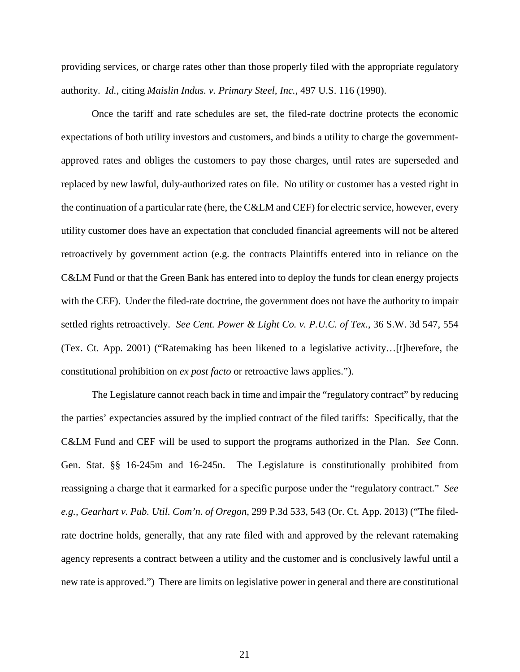providing services, or charge rates other than those properly filed with the appropriate regulatory authority. *Id.*, citing *Maislin Indus. v. Primary Steel, Inc.*, 497 U.S. 116 (1990).

Once the tariff and rate schedules are set, the filed-rate doctrine protects the economic expectations of both utility investors and customers, and binds a utility to charge the governmentapproved rates and obliges the customers to pay those charges, until rates are superseded and replaced by new lawful, duly-authorized rates on file. No utility or customer has a vested right in the continuation of a particular rate (here, the C&LM and CEF) for electric service, however, every utility customer does have an expectation that concluded financial agreements will not be altered retroactively by government action (e.g. the contracts Plaintiffs entered into in reliance on the C&LM Fund or that the Green Bank has entered into to deploy the funds for clean energy projects with the CEF). Under the filed-rate doctrine, the government does not have the authority to impair settled rights retroactively. *See Cent. Power & Light Co. v. P.U.C. of Tex.*, 36 S.W. 3d 547, 554 (Tex. Ct. App. 2001) ("Ratemaking has been likened to a legislative activity…[t]herefore, the constitutional prohibition on *ex post facto* or retroactive laws applies.").

The Legislature cannot reach back in time and impair the "regulatory contract" by reducing the parties' expectancies assured by the implied contract of the filed tariffs: Specifically, that the C&LM Fund and CEF will be used to support the programs authorized in the Plan. *See* Conn. Gen. Stat. §§ 16-245m and 16-245n. The Legislature is constitutionally prohibited from reassigning a charge that it earmarked for a specific purpose under the "regulatory contract." *See e.g., Gearhart v. Pub. Util. Com'n. of Oregon*, 299 P.3d 533, 543 (Or. Ct. App. 2013) ("The filedrate doctrine holds, generally, that any rate filed with and approved by the relevant ratemaking agency represents a contract between a utility and the customer and is conclusively lawful until a new rate is approved.") There are limits on legislative power in general and there are constitutional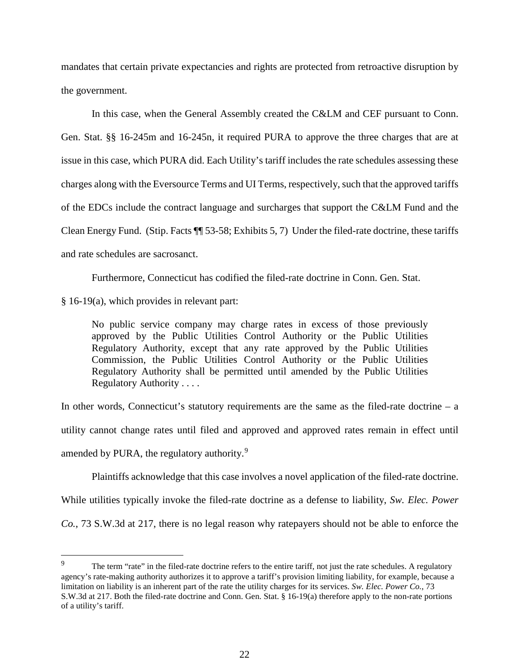mandates that certain private expectancies and rights are protected from retroactive disruption by the government.

In this case, when the General Assembly created the C&LM and CEF pursuant to Conn. Gen. Stat. §§ 16-245m and 16-245n, it required PURA to approve the three charges that are at issue in this case, which PURA did. Each Utility's tariff includes the rate schedules assessing these charges along with the Eversource Terms and UI Terms, respectively, such that the approved tariffs of the EDCs include the contract language and surcharges that support the C&LM Fund and the Clean Energy Fund. (Stip. Facts ¶¶ 53-58; Exhibits 5, 7) Under the filed-rate doctrine, these tariffs and rate schedules are sacrosanct.

Furthermore, Connecticut has codified the filed-rate doctrine in Conn. Gen. Stat.

§ 16-19(a), which provides in relevant part:

No public service company may charge rates in excess of those previously approved by the Public Utilities Control Authority or the Public Utilities Regulatory Authority, except that any rate approved by the Public Utilities Commission, the Public Utilities Control Authority or the Public Utilities Regulatory Authority shall be permitted until amended by the Public Utilities Regulatory Authority . . . .

In other words, Connecticut's statutory requirements are the same as the filed-rate doctrine – a

utility cannot change rates until filed and approved and approved rates remain in effect until

amended by PURA, the regulatory authority.<sup>[9](#page-21-0)</sup>

Plaintiffs acknowledge that this case involves a novel application of the filed-rate doctrine.

While utilities typically invoke the filed-rate doctrine as a defense to liability, *Sw. Elec. Power* 

*Co.*, 73 S.W.3d at 217, there is no legal reason why ratepayers should not be able to enforce the

<span id="page-21-0"></span>The term "rate" in the filed-rate doctrine refers to the entire tariff, not just the rate schedules. A regulatory agency's rate-making authority authorizes it to approve a tariff's provision limiting liability, for example, because a limitation on liability is an inherent part of the rate the utility charges for its services. *Sw. Elec. Power Co.*, 73 S.W.3d at 217. Both the filed-rate doctrine and Conn. Gen. Stat. § 16-19(a) therefore apply to the non-rate portions of a utility's tariff.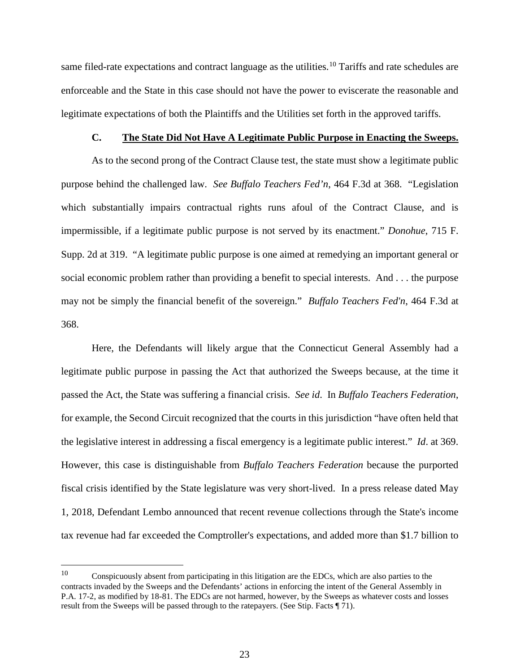same filed-rate expectations and contract language as the utilities.<sup>[10](#page-22-0)</sup> Tariffs and rate schedules are enforceable and the State in this case should not have the power to eviscerate the reasonable and legitimate expectations of both the Plaintiffs and the Utilities set forth in the approved tariffs.

#### **C. The State Did Not Have A Legitimate Public Purpose in Enacting the Sweeps.**

As to the second prong of the Contract Clause test, the state must show a legitimate public purpose behind the challenged law. *See Buffalo Teachers Fed'n*, 464 F.3d at 368. "Legislation which substantially impairs contractual rights runs afoul of the Contract Clause, and is impermissible, if a legitimate public purpose is not served by its enactment." *Donohue*, 715 F. Supp. 2d at 319. "A legitimate public purpose is one aimed at remedying an important general or social economic problem rather than providing a benefit to special interests. And . . . the purpose may not be simply the financial benefit of the sovereign." *Buffalo Teachers Fed'n*, 464 F.3d at 368.

Here, the Defendants will likely argue that the Connecticut General Assembly had a legitimate public purpose in passing the Act that authorized the Sweeps because, at the time it passed the Act, the State was suffering a financial crisis. *See id*. In *Buffalo Teachers Federation*, for example, the Second Circuit recognized that the courts in this jurisdiction "have often held that the legislative interest in addressing a fiscal emergency is a legitimate public interest." *Id*. at 369. However, this case is distinguishable from *Buffalo Teachers Federation* because the purported fiscal crisis identified by the State legislature was very short-lived. In a press release dated May 1, 2018, Defendant Lembo announced that recent revenue collections through the State's income tax revenue had far exceeded the Comptroller's expectations, and added more than \$1.7 billion to

<span id="page-22-0"></span> $10$  Conspicuously absent from participating in this litigation are the EDCs, which are also parties to the contracts invaded by the Sweeps and the Defendants' actions in enforcing the intent of the General Assembly in P.A. 17-2, as modified by 18-81. The EDCs are not harmed, however, by the Sweeps as whatever costs and losses result from the Sweeps will be passed through to the ratepayers. (See Stip. Facts ¶ 71).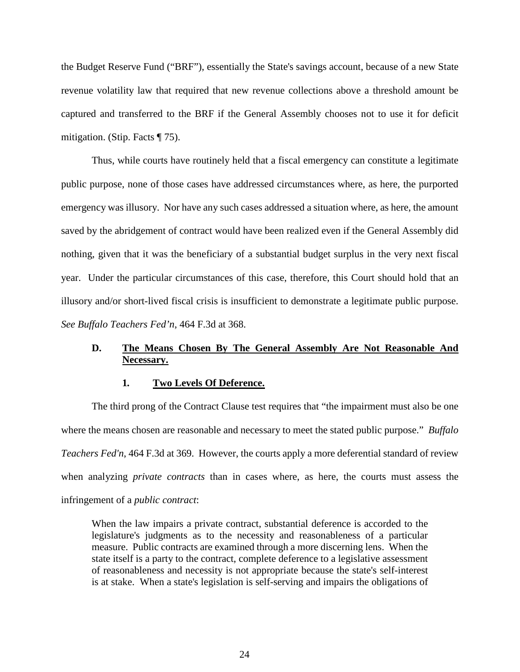the Budget Reserve Fund ("BRF"), essentially the State's savings account, because of a new State revenue volatility law that required that new revenue collections above a threshold amount be captured and transferred to the BRF if the General Assembly chooses not to use it for deficit mitigation. (Stip. Facts ¶ 75).

Thus, while courts have routinely held that a fiscal emergency can constitute a legitimate public purpose, none of those cases have addressed circumstances where, as here, the purported emergency was illusory. Nor have any such cases addressed a situation where, as here, the amount saved by the abridgement of contract would have been realized even if the General Assembly did nothing, given that it was the beneficiary of a substantial budget surplus in the very next fiscal year. Under the particular circumstances of this case, therefore, this Court should hold that an illusory and/or short-lived fiscal crisis is insufficient to demonstrate a legitimate public purpose. *See Buffalo Teachers Fed'n*, 464 F.3d at 368.

# **D. The Means Chosen By The General Assembly Are Not Reasonable And Necessary.**

### **1***.* **Two Levels Of Deference.**

The third prong of the Contract Clause test requires that "the impairment must also be one where the means chosen are reasonable and necessary to meet the stated public purpose." *Buffalo Teachers Fed'n*, 464 F.3d at 369. However, the courts apply a more deferential standard of review when analyzing *private contracts* than in cases where, as here, the courts must assess the infringement of a *public contract*:

When the law impairs a private contract, substantial deference is accorded to the legislature's judgments as to the necessity and reasonableness of a particular measure. Public contracts are examined through a more discerning lens. When the state itself is a party to the contract, complete deference to a legislative assessment of reasonableness and necessity is not appropriate because the state's self-interest is at stake. When a state's legislation is self-serving and impairs the obligations of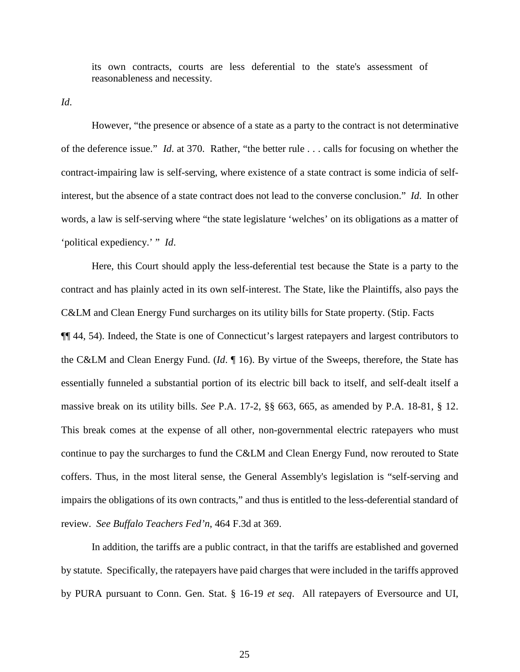its own contracts, courts are less deferential to the state's assessment of reasonableness and necessity.

*Id*.

However, "the presence or absence of a state as a party to the contract is not determinative of the deference issue." *Id*. at 370. Rather, "the better rule . . . calls for focusing on whether the contract-impairing law is self-serving, where existence of a state contract is some indicia of selfinterest, but the absence of a state contract does not lead to the converse conclusion." *Id*. In other words, a law is self-serving where "the state legislature 'welches' on its obligations as a matter of 'political expediency.' " *Id*.

Here, this Court should apply the less-deferential test because the State is a party to the contract and has plainly acted in its own self-interest. The State, like the Plaintiffs, also pays the C&LM and Clean Energy Fund surcharges on its utility bills for State property. (Stip. Facts ¶¶ 44, 54). Indeed, the State is one of Connecticut's largest ratepayers and largest contributors to the C&LM and Clean Energy Fund. (*Id*. ¶ 16). By virtue of the Sweeps, therefore, the State has essentially funneled a substantial portion of its electric bill back to itself, and self-dealt itself a massive break on its utility bills. *See* P.A. 17-2, §§ 663, 665, as amended by P.A. 18-81, § 12. This break comes at the expense of all other, non-governmental electric ratepayers who must continue to pay the surcharges to fund the C&LM and Clean Energy Fund, now rerouted to State coffers. Thus, in the most literal sense, the General Assembly's legislation is "self-serving and impairs the obligations of its own contracts," and thus is entitled to the less-deferential standard of review. *See Buffalo Teachers Fed'n*, 464 F.3d at 369.

In addition, the tariffs are a public contract, in that the tariffs are established and governed by statute. Specifically, the ratepayers have paid charges that were included in the tariffs approved by PURA pursuant to Conn. Gen. Stat. § 16-19 *et seq*. All ratepayers of Eversource and UI,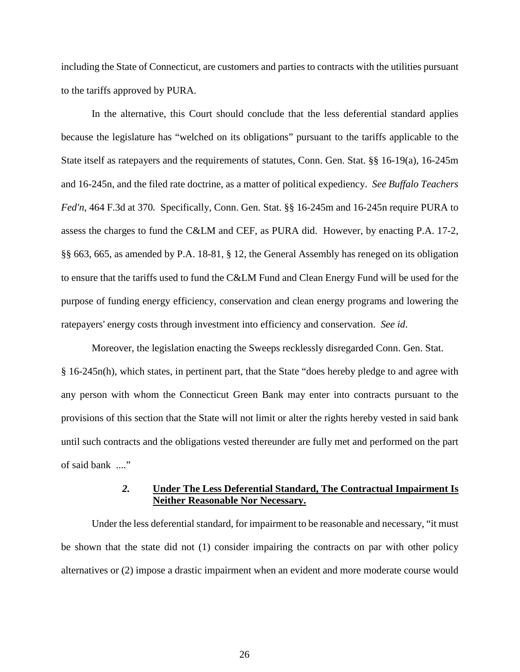including the State of Connecticut, are customers and parties to contracts with the utilities pursuant to the tariffs approved by PURA.

In the alternative, this Court should conclude that the less deferential standard applies because the legislature has "welched on its obligations" pursuant to the tariffs applicable to the State itself as ratepayers and the requirements of statutes, Conn. Gen. Stat. §§ 16-19(a), 16-245m and 16-245n, and the filed rate doctrine, as a matter of political expediency. *See Buffalo Teachers Fed'n*, 464 F.3d at 370*.* Specifically, Conn. Gen. Stat. §§ 16-245m and 16-245n require PURA to assess the charges to fund the C&LM and CEF, as PURA did. However, by enacting P.A. 17-2, §§ 663, 665, as amended by P.A. 18-81, § 12, the General Assembly has reneged on its obligation to ensure that the tariffs used to fund the C&LM Fund and Clean Energy Fund will be used for the purpose of funding energy efficiency, conservation and clean energy programs and lowering the ratepayers' energy costs through investment into efficiency and conservation. *See id*.

Moreover, the legislation enacting the Sweeps recklessly disregarded Conn. Gen. Stat. § 16-245n(h), which states, in pertinent part, that the State "does hereby pledge to and agree with any person with whom the Connecticut Green Bank may enter into contracts pursuant to the provisions of this section that the State will not limit or alter the rights hereby vested in said bank until such contracts and the obligations vested thereunder are fully met and performed on the part of said bank ...."

# *2.* **Under The Less Deferential Standard, The Contractual Impairment Is Neither Reasonable Nor Necessary.**

Under the less deferential standard, for impairment to be reasonable and necessary, "it must be shown that the state did not (1) consider impairing the contracts on par with other policy alternatives or (2) impose a drastic impairment when an evident and more moderate course would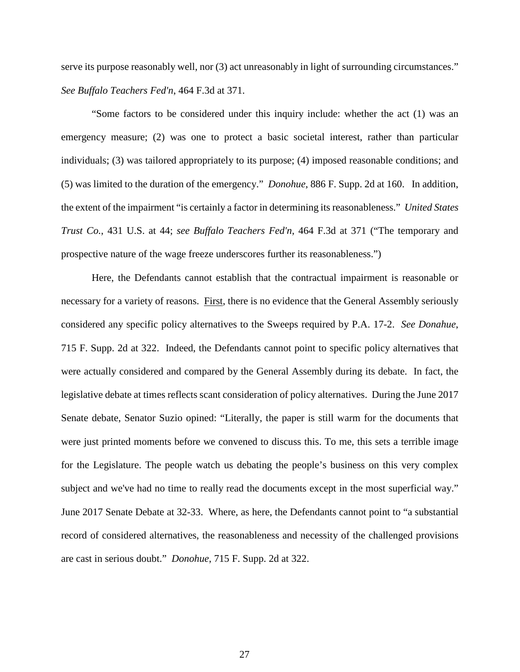serve its purpose reasonably well, nor (3) act unreasonably in light of surrounding circumstances." *See Buffalo Teachers Fed'n*, 464 F.3d at 371.

"Some factors to be considered under this inquiry include: whether the act (1) was an emergency measure; (2) was one to protect a basic societal interest, rather than particular individuals; (3) was tailored appropriately to its purpose; (4) imposed reasonable conditions; and (5) was limited to the duration of the emergency." *Donohue*, 886 F. Supp. 2d at 160. In addition, the extent of the impairment "is certainly a factor in determining its reasonableness." *United States Trust Co.*, 431 U.S. at 44; *see Buffalo Teachers Fed'n*, 464 F.3d at 371 ("The temporary and prospective nature of the wage freeze underscores further its reasonableness.")

Here, the Defendants cannot establish that the contractual impairment is reasonable or necessary for a variety of reasons. First, there is no evidence that the General Assembly seriously considered any specific policy alternatives to the Sweeps required by P.A. 17-2. *See Donahue*, 715 F. Supp. 2d at 322. Indeed, the Defendants cannot point to specific policy alternatives that were actually considered and compared by the General Assembly during its debate. In fact, the legislative debate at times reflects scant consideration of policy alternatives. During the June 2017 Senate debate, Senator Suzio opined: "Literally, the paper is still warm for the documents that were just printed moments before we convened to discuss this. To me, this sets a terrible image for the Legislature. The people watch us debating the people's business on this very complex subject and we've had no time to really read the documents except in the most superficial way." June 2017 Senate Debate at 32-33. Where, as here, the Defendants cannot point to "a substantial record of considered alternatives, the reasonableness and necessity of the challenged provisions are cast in serious doubt." *Donohue*, 715 F. Supp. 2d at 322.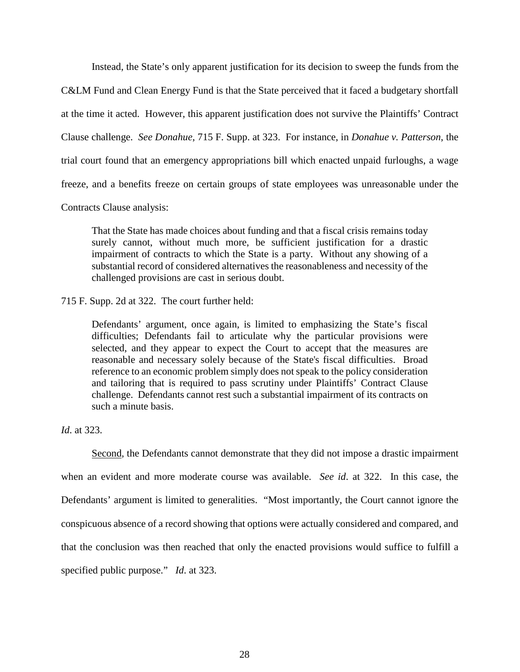Instead, the State's only apparent justification for its decision to sweep the funds from the

C&LM Fund and Clean Energy Fund is that the State perceived that it faced a budgetary shortfall

at the time it acted. However, this apparent justification does not survive the Plaintiffs' Contract

Clause challenge. *See Donahue*, 715 F. Supp. at 323. For instance, in *Donahue v. Patterson*, the

trial court found that an emergency appropriations bill which enacted unpaid furloughs, a wage

freeze, and a benefits freeze on certain groups of state employees was unreasonable under the

Contracts Clause analysis:

That the State has made choices about funding and that a fiscal crisis remains today surely cannot, without much more, be sufficient justification for a drastic impairment of contracts to which the State is a party. Without any showing of a substantial record of considered alternatives the reasonableness and necessity of the challenged provisions are cast in serious doubt.

715 F. Supp. 2d at 322. The court further held:

Defendants' argument, once again, is limited to emphasizing the State's fiscal difficulties; Defendants fail to articulate why the particular provisions were selected, and they appear to expect the Court to accept that the measures are reasonable and necessary solely because of the State's fiscal difficulties. Broad reference to an economic problem simply does not speak to the policy consideration and tailoring that is required to pass scrutiny under Plaintiffs' Contract Clause challenge. Defendants cannot rest such a substantial impairment of its contracts on such a minute basis.

*Id*. at 323.

Second, the Defendants cannot demonstrate that they did not impose a drastic impairment when an evident and more moderate course was available. *See id*. at 322. In this case, the Defendants' argument is limited to generalities. "Most importantly, the Court cannot ignore the conspicuous absence of a record showing that options were actually considered and compared, and that the conclusion was then reached that only the enacted provisions would suffice to fulfill a specified public purpose." *Id*. at 323.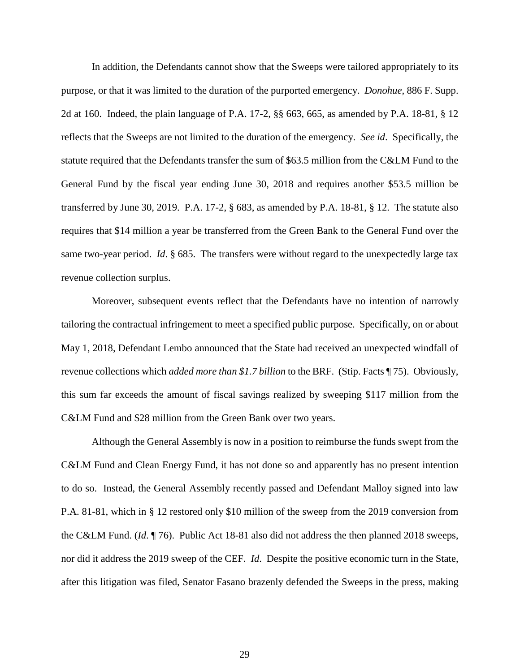In addition, the Defendants cannot show that the Sweeps were tailored appropriately to its purpose, or that it was limited to the duration of the purported emergency. *Donohue*, 886 F. Supp. 2d at 160. Indeed, the plain language of P.A. 17-2, §§ 663, 665, as amended by P.A. 18-81, § 12 reflects that the Sweeps are not limited to the duration of the emergency. *See id*. Specifically, the statute required that the Defendants transfer the sum of \$63.5 million from the C&LM Fund to the General Fund by the fiscal year ending June 30, 2018 and requires another \$53.5 million be transferred by June 30, 2019. P.A. 17-2, § 683, as amended by P.A. 18-81, § 12. The statute also requires that \$14 million a year be transferred from the Green Bank to the General Fund over the same two-year period. *Id*. § 685. The transfers were without regard to the unexpectedly large tax revenue collection surplus.

Moreover, subsequent events reflect that the Defendants have no intention of narrowly tailoring the contractual infringement to meet a specified public purpose. Specifically, on or about May 1, 2018, Defendant Lembo announced that the State had received an unexpected windfall of revenue collections which *added more than \$1.7 billion* to the BRF. (Stip. Facts ¶ 75). Obviously, this sum far exceeds the amount of fiscal savings realized by sweeping \$117 million from the C&LM Fund and \$28 million from the Green Bank over two years.

Although the General Assembly is now in a position to reimburse the funds swept from the C&LM Fund and Clean Energy Fund, it has not done so and apparently has no present intention to do so. Instead, the General Assembly recently passed and Defendant Malloy signed into law P.A. 81-81, which in § 12 restored only \$10 million of the sweep from the 2019 conversion from the C&LM Fund. (*Id*. ¶ 76). Public Act 18-81 also did not address the then planned 2018 sweeps, nor did it address the 2019 sweep of the CEF. *Id*. Despite the positive economic turn in the State, after this litigation was filed, Senator Fasano brazenly defended the Sweeps in the press, making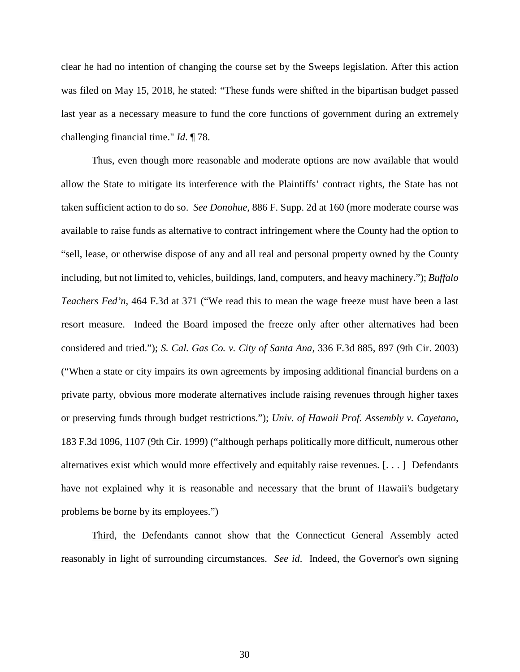clear he had no intention of changing the course set by the Sweeps legislation. After this action was filed on May 15, 2018, he stated: "These funds were shifted in the bipartisan budget passed last year as a necessary measure to fund the core functions of government during an extremely challenging financial time." *Id*. ¶ 78.

Thus, even though more reasonable and moderate options are now available that would allow the State to mitigate its interference with the Plaintiffs' contract rights, the State has not taken sufficient action to do so. *See Donohue*, 886 F. Supp. 2d at 160 (more moderate course was available to raise funds as alternative to contract infringement where the County had the option to "sell, lease, or otherwise dispose of any and all real and personal property owned by the County including, but not limited to, vehicles, buildings, land, computers, and heavy machinery."); *Buffalo Teachers Fed'n*, 464 F.3d at 371 ("We read this to mean the wage freeze must have been a last resort measure. Indeed the Board imposed the freeze only after other alternatives had been considered and tried."); *S. Cal. Gas Co. v. City of Santa Ana*, 336 F.3d 885, 897 (9th Cir. 2003) ("When a state or city impairs its own agreements by imposing additional financial burdens on a private party, obvious more moderate alternatives include raising revenues through higher taxes or preserving funds through budget restrictions."); *Univ. of Hawaii Prof. Assembly v. Cayetano*, 183 F.3d 1096, 1107 (9th Cir. 1999) ("although perhaps politically more difficult, numerous other alternatives exist which would more effectively and equitably raise revenues. [. . . ] Defendants have not explained why it is reasonable and necessary that the brunt of Hawaii's budgetary problems be borne by its employees.")

Third, the Defendants cannot show that the Connecticut General Assembly acted reasonably in light of surrounding circumstances. *See id*. Indeed, the Governor's own signing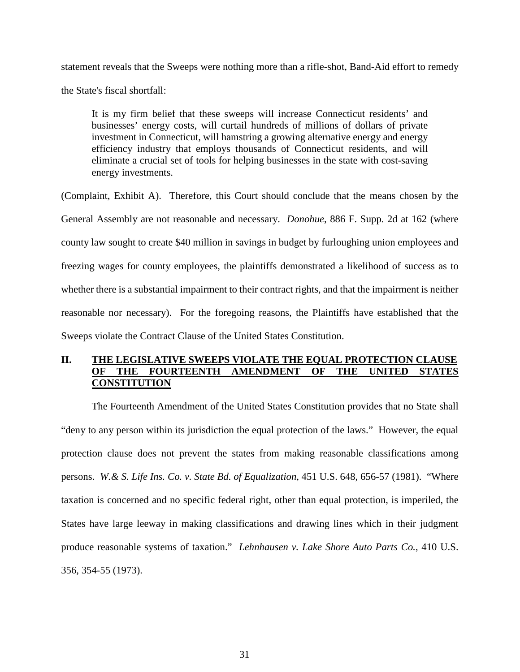statement reveals that the Sweeps were nothing more than a rifle-shot, Band-Aid effort to remedy the State's fiscal shortfall:

It is my firm belief that these sweeps will increase Connecticut residents' and businesses' energy costs, will curtail hundreds of millions of dollars of private investment in Connecticut, will hamstring a growing alternative energy and energy efficiency industry that employs thousands of Connecticut residents, and will eliminate a crucial set of tools for helping businesses in the state with cost-saving energy investments.

(Complaint, Exhibit A). Therefore, this Court should conclude that the means chosen by the General Assembly are not reasonable and necessary. *Donohue*, 886 F. Supp. 2d at 162 (where county law sought to create \$40 million in savings in budget by furloughing union employees and freezing wages for county employees, the plaintiffs demonstrated a likelihood of success as to whether there is a substantial impairment to their contract rights, and that the impairment is neither reasonable nor necessary). For the foregoing reasons, the Plaintiffs have established that the Sweeps violate the Contract Clause of the United States Constitution.

# **II. THE LEGISLATIVE SWEEPS VIOLATE THE EQUAL PROTECTION CLAUSE OF THE FOURTEENTH AMENDMENT OF THE UNITED STATES CONSTITUTION**

 The Fourteenth Amendment of the United States Constitution provides that no State shall "deny to any person within its jurisdiction the equal protection of the laws." However, the equal protection clause does not prevent the states from making reasonable classifications among persons. *W.& S. Life Ins. Co. v. State Bd. of Equalization*, 451 U.S. 648, 656-57 (1981). "Where taxation is concerned and no specific federal right, other than equal protection, is imperiled, the States have large leeway in making classifications and drawing lines which in their judgment produce reasonable systems of taxation." *Lehnhausen v. Lake Shore Auto Parts Co.*, 410 U.S. 356, 354-55 (1973).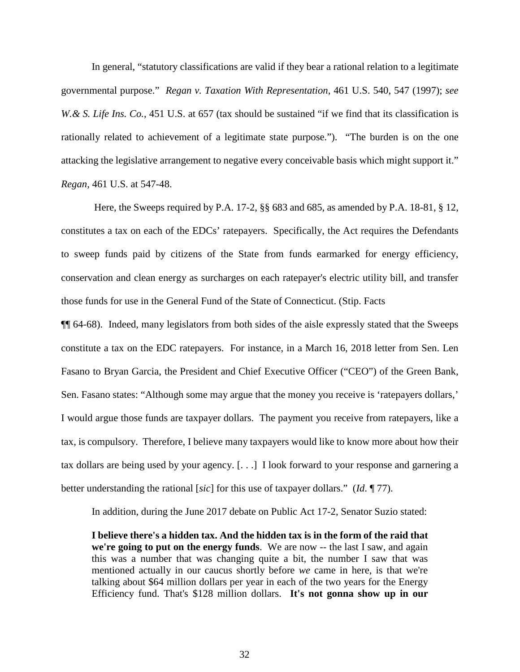In general, "statutory classifications are valid if they bear a rational relation to a legitimate governmental purpose." *Regan v. Taxation With Representation*, 461 U.S. 540, 547 (1997); *see W. & S. Life Ins. Co.*, 451 U.S. at 657 (tax should be sustained "if we find that its classification is rationally related to achievement of a legitimate state purpose."). "The burden is on the one attacking the legislative arrangement to negative every conceivable basis which might support it." *Regan*, 461 U.S. at 547-48.

 Here, the Sweeps required by P.A. 17-2, §§ 683 and 685, as amended by P.A. 18-81, § 12, constitutes a tax on each of the EDCs' ratepayers. Specifically, the Act requires the Defendants to sweep funds paid by citizens of the State from funds earmarked for energy efficiency, conservation and clean energy as surcharges on each ratepayer's electric utility bill, and transfer those funds for use in the General Fund of the State of Connecticut. (Stip. Facts

¶¶ 64-68). Indeed, many legislators from both sides of the aisle expressly stated that the Sweeps constitute a tax on the EDC ratepayers. For instance, in a March 16, 2018 letter from Sen. Len Fasano to Bryan Garcia, the President and Chief Executive Officer ("CEO") of the Green Bank, Sen. Fasano states: "Although some may argue that the money you receive is 'ratepayers dollars,' I would argue those funds are taxpayer dollars. The payment you receive from ratepayers, like a tax, is compulsory. Therefore, I believe many taxpayers would like to know more about how their tax dollars are being used by your agency. [. . .] I look forward to your response and garnering a better understanding the rational [*sic*] for this use of taxpayer dollars." (*Id*. ¶ 77).

In addition, during the June 2017 debate on Public Act 17-2, Senator Suzio stated:

**I believe there's a hidden tax. And the hidden tax is in the form of the raid that we're going to put on the energy funds**. We are now -- the last I saw, and again this was a number that was changing quite a bit, the number I saw that was mentioned actually in our caucus shortly before *we* came in here, is that we're talking about \$64 million dollars per year in each of the two years for the Energy Efficiency fund. That's \$128 million dollars. **It's not gonna show up in our**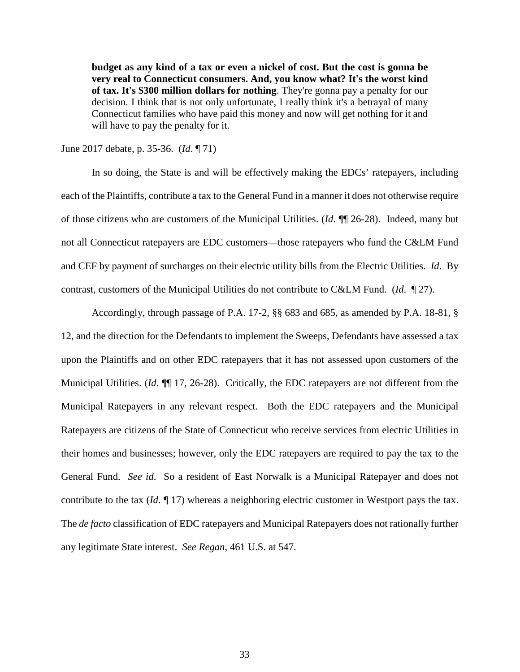**budget as any kind of a tax or even a nickel of cost. But the cost is gonna be very real to Connecticut consumers. And, you know what? It's the worst kind of tax. It's \$300 million dollars for nothing**. They're gonna pay a penalty for our decision. I think that is not only unfortunate, I really think it's a betrayal of many Connecticut families who have paid this money and now will get nothing for it and will have to pay the penalty for it.

June 2017 debate, p. 35-36. (*Id*. ¶ 71)

 In so doing, the State is and will be effectively making the EDCs' ratepayers, including each of the Plaintiffs, contribute a tax to the General Fund in a manner it does not otherwise require of those citizens who are customers of the Municipal Utilities. (*Id*. ¶¶ 26-28). Indeed, many but not all Connecticut ratepayers are EDC customers—those ratepayers who fund the C&LM Fund and CEF by payment of surcharges on their electric utility bills from the Electric Utilities. *Id*. By contrast, customers of the Municipal Utilities do not contribute to C&LM Fund. (*Id*. ¶ 27).

 Accordingly, through passage of P.A. 17-2, §§ 683 and 685, as amended by P.A. 18-81, § 12, and the direction for the Defendants to implement the Sweeps, Defendants have assessed a tax upon the Plaintiffs and on other EDC ratepayers that it has not assessed upon customers of the Municipal Utilities. (*Id*. ¶¶ 17, 26-28). Critically, the EDC ratepayers are not different from the Municipal Ratepayers in any relevant respect. Both the EDC ratepayers and the Municipal Ratepayers are citizens of the State of Connecticut who receive services from electric Utilities in their homes and businesses; however, only the EDC ratepayers are required to pay the tax to the General Fund. *See id*. So a resident of East Norwalk is a Municipal Ratepayer and does not contribute to the tax (*Id*. ¶ 17) whereas a neighboring electric customer in Westport pays the tax. The *de facto* classification of EDC ratepayers and Municipal Ratepayers does not rationally further any legitimate State interest. *See Regan*, 461 U.S. at 547.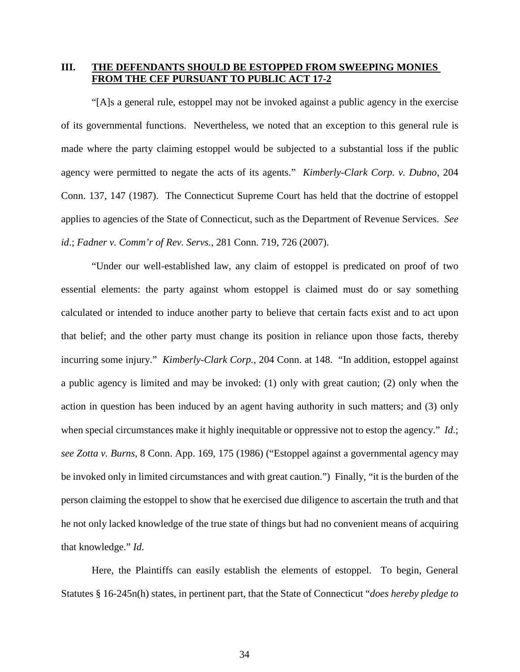# **III. THE DEFENDANTS SHOULD BE ESTOPPED FROM SWEEPING MONIES FROM THE CEF PURSUANT TO PUBLIC ACT 17-2**

"[A]s a general rule, estoppel may not be invoked against a public agency in the exercise of its governmental functions. Nevertheless, we noted that an exception to this general rule is made where the party claiming estoppel would be subjected to a substantial loss if the public agency were permitted to negate the acts of its agents." *Kimberly-Clark Corp. v. Dubno*, 204 Conn. 137, 147 (1987). The Connecticut Supreme Court has held that the doctrine of estoppel applies to agencies of the State of Connecticut, such as the Department of Revenue Services. *See id*.; *Fadner v. Comm'r of Rev. Servs.*, 281 Conn. 719, 726 (2007).

"Under our well-established law, any claim of estoppel is predicated on proof of two essential elements: the party against whom estoppel is claimed must do or say something calculated or intended to induce another party to believe that certain facts exist and to act upon that belief; and the other party must change its position in reliance upon those facts, thereby incurring some injury." *Kimberly-Clark Corp.*, 204 Conn. at 148. "In addition, estoppel against a public agency is limited and may be invoked: (1) only with great caution; (2) only when the action in question has been induced by an agent having authority in such matters; and (3) only when special circumstances make it highly inequitable or oppressive not to estop the agency." *Id*.; *see Zotta v. Burns*, 8 Conn. App. 169, 175 (1986) ("Estoppel against a governmental agency may be invoked only in limited circumstances and with great caution.") Finally, "it is the burden of the person claiming the estoppel to show that he exercised due diligence to ascertain the truth and that he not only lacked knowledge of the true state of things but had no convenient means of acquiring that knowledge." *Id*.

Here, the Plaintiffs can easily establish the elements of estoppel. To begin, General Statutes § 16-245n(h) states, in pertinent part, that the State of Connecticut "*does hereby pledge to*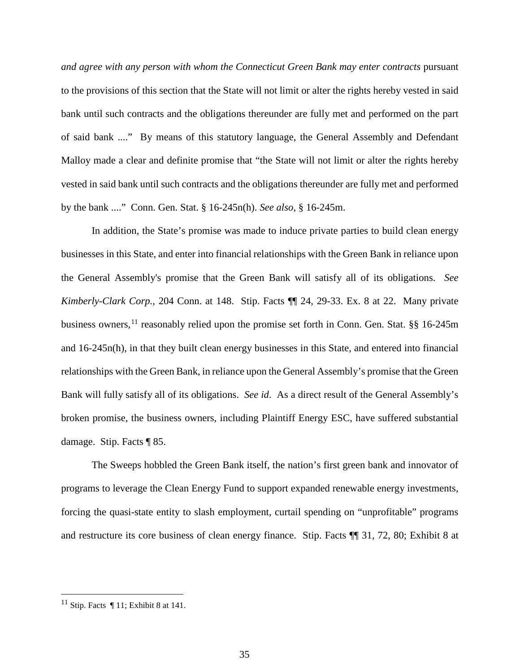*and agree with any person with whom the Connecticut Green Bank may enter contracts* pursuant to the provisions of this section that the State will not limit or alter the rights hereby vested in said bank until such contracts and the obligations thereunder are fully met and performed on the part of said bank ...." By means of this statutory language, the General Assembly and Defendant Malloy made a clear and definite promise that "the State will not limit or alter the rights hereby vested in said bank until such contracts and the obligations thereunder are fully met and performed by the bank ...." Conn. Gen. Stat. § 16-245n(h). *See also*, § 16-245m.

In addition, the State's promise was made to induce private parties to build clean energy businesses in this State, and enter into financial relationships with the Green Bank in reliance upon the General Assembly's promise that the Green Bank will satisfy all of its obligations. *See Kimberly-Clark Corp.*, 204 Conn. at 148. Stip. Facts ¶¶ 24, 29-33. Ex. 8 at 22. Many private business owners,<sup>[11](#page-34-0)</sup> reasonably relied upon the promise set forth in Conn. Gen. Stat. §§ 16-245m and 16-245n(h), in that they built clean energy businesses in this State, and entered into financial relationships with the Green Bank, in reliance upon the General Assembly's promise that the Green Bank will fully satisfy all of its obligations. *See id*. As a direct result of the General Assembly's broken promise, the business owners, including Plaintiff Energy ESC, have suffered substantial damage. Stip. Facts ¶ 85.

The Sweeps hobbled the Green Bank itself, the nation's first green bank and innovator of programs to leverage the Clean Energy Fund to support expanded renewable energy investments, forcing the quasi-state entity to slash employment, curtail spending on "unprofitable" programs and restructure its core business of clean energy finance. Stip. Facts ¶¶ 31, 72, 80; Exhibit 8 at

<span id="page-34-0"></span><sup>&</sup>lt;sup>11</sup> Stip. Facts  $\P$  11; Exhibit 8 at 141.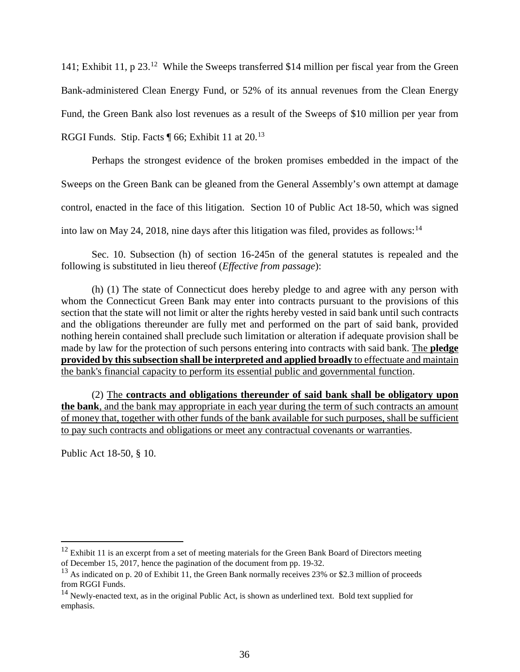141; Exhibit 11, p 23.<sup>12</sup> While the Sweeps transferred \$14 million per fiscal year from the Green Bank-administered Clean Energy Fund, or 52% of its annual revenues from the Clean Energy Fund, the Green Bank also lost revenues as a result of the Sweeps of \$10 million per year from RGGI Funds. Stip. Facts ¶ 66; Exhibit 11 at 20.[13](#page-35-1)

Perhaps the strongest evidence of the broken promises embedded in the impact of the Sweeps on the Green Bank can be gleaned from the General Assembly's own attempt at damage control, enacted in the face of this litigation. Section 10 of Public Act 18-50, which was signed into law on May 24, 2018, nine days after this litigation was filed, provides as follows:  $14$ 

Sec. 10. Subsection (h) of section 16-245n of the general statutes is repealed and the following is substituted in lieu thereof (*Effective from passage*):

(h) (1) The state of Connecticut does hereby pledge to and agree with any person with whom the Connecticut Green Bank may enter into contracts pursuant to the provisions of this section that the state will not limit or alter the rights hereby vested in said bank until such contracts and the obligations thereunder are fully met and performed on the part of said bank, provided nothing herein contained shall preclude such limitation or alteration if adequate provision shall be made by law for the protection of such persons entering into contracts with said bank. The **pledge provided by this subsection shall be interpreted and applied broadly** to effectuate and maintain the bank's financial capacity to perform its essential public and governmental function.

(2) The **contracts and obligations thereunder of said bank shall be obligatory upon the bank**, and the bank may appropriate in each year during the term of such contracts an amount of money that, together with other funds of the bank available for such purposes, shall be sufficient to pay such contracts and obligations or meet any contractual covenants or warranties.

Public Act 18-50, § 10.

<span id="page-35-0"></span> $12$  Exhibit 11 is an excerpt from a set of meeting materials for the Green Bank Board of Directors meeting of December 15, 2017, hence the pagination of the document from pp. 19-32.

<span id="page-35-1"></span> $13$  As indicated on p. 20 of Exhibit 11, the Green Bank normally receives 23% or \$2.3 million of proceeds from RGGI Funds.

<span id="page-35-2"></span> $14$  Newly-enacted text, as in the original Public Act, is shown as underlined text. Bold text supplied for emphasis.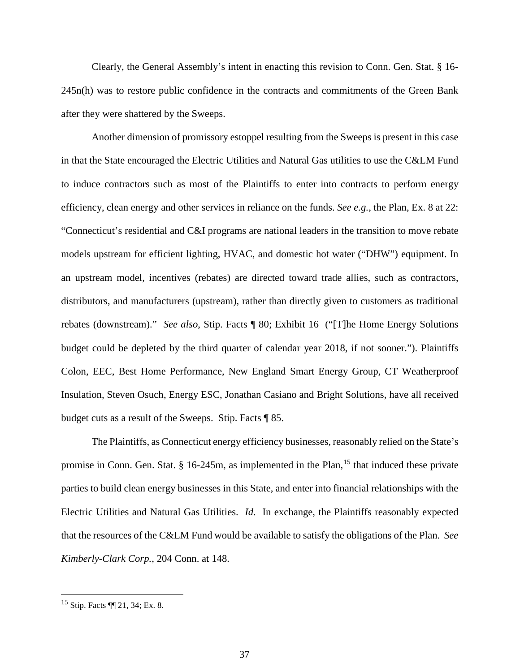Clearly, the General Assembly's intent in enacting this revision to Conn. Gen. Stat. § 16- 245n(h) was to restore public confidence in the contracts and commitments of the Green Bank after they were shattered by the Sweeps.

Another dimension of promissory estoppel resulting from the Sweeps is present in this case in that the State encouraged the Electric Utilities and Natural Gas utilities to use the C&LM Fund to induce contractors such as most of the Plaintiffs to enter into contracts to perform energy efficiency, clean energy and other services in reliance on the funds. *See e.g.*, the Plan, Ex. 8 at 22: "Connecticut's residential and C&I programs are national leaders in the transition to move rebate models upstream for efficient lighting, HVAC, and domestic hot water ("DHW") equipment. In an upstream model, incentives (rebates) are directed toward trade allies, such as contractors, distributors, and manufacturers (upstream), rather than directly given to customers as traditional rebates (downstream)." *See also*, Stip. Facts ¶ 80; Exhibit 16 ("[T]he Home Energy Solutions budget could be depleted by the third quarter of calendar year 2018, if not sooner."). Plaintiffs Colon, EEC, Best Home Performance, New England Smart Energy Group, CT Weatherproof Insulation, Steven Osuch, Energy ESC, Jonathan Casiano and Bright Solutions, have all received budget cuts as a result of the Sweeps. Stip. Facts ¶ 85.

The Plaintiffs, as Connecticut energy efficiency businesses, reasonably relied on the State's promise in Conn. Gen. Stat.  $\S$  16-245m, as implemented in the Plan, <sup>[15](#page-36-0)</sup> that induced these private parties to build clean energy businesses in this State, and enter into financial relationships with the Electric Utilities and Natural Gas Utilities. *Id*. In exchange, the Plaintiffs reasonably expected that the resources of the C&LM Fund would be available to satisfy the obligations of the Plan. *See Kimberly-Clark Corp.*, 204 Conn. at 148.

<span id="page-36-0"></span> <sup>15</sup> Stip. Facts ¶¶ 21, 34; Ex. 8.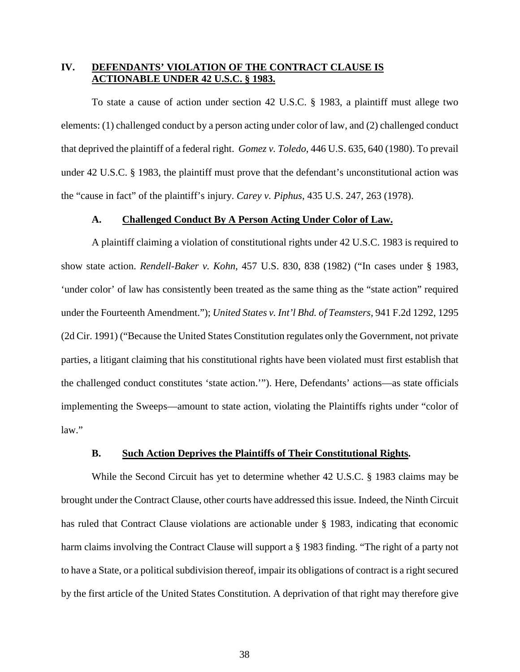# **IV. DEFENDANTS' VIOLATION OF THE CONTRACT CLAUSE IS ACTIONABLE UNDER 42 U.S.C. § 1983.**

To state a cause of action under section 42 U.S.C. § 1983, a plaintiff must allege two elements: (1) challenged conduct by a person acting under color of law, and (2) challenged conduct that deprived the plaintiff of a federal right. *Gomez v. Toledo*, 446 U.S. 635, 640 (1980). To prevail under 42 U.S.C. § 1983, the plaintiff must prove that the defendant's unconstitutional action was the "cause in fact" of the plaintiff's injury. *Carey v. Piphus*, 435 U.S. 247, 263 (1978).

### **A. Challenged Conduct By A Person Acting Under Color of Law.**

A plaintiff claiming a violation of constitutional rights under 42 U.S.C. 1983 is required to show state action. *Rendell-Baker v. Kohn*, 457 U.S. 830, 838 (1982) ("In cases under § 1983, 'under color' of law has consistently been treated as the same thing as the "state action" required under the Fourteenth Amendment."); *United States v. Int'l Bhd. of Teamsters*, 941 F.2d 1292, 1295 (2d Cir. 1991) ("Because the United States Constitution regulates only the Government, not private parties, a litigant claiming that his constitutional rights have been violated must first establish that the challenged conduct constitutes 'state action.'"). Here, Defendants' actions—as state officials implementing the Sweeps—amount to state action, violating the Plaintiffs rights under "color of law."

### **B. Such Action Deprives the Plaintiffs of Their Constitutional Rights.**

While the Second Circuit has yet to determine whether 42 U.S.C. § 1983 claims may be brought under the Contract Clause, other courts have addressed this issue. Indeed, the Ninth Circuit has ruled that Contract Clause violations are actionable under § 1983, indicating that economic harm claims involving the Contract Clause will support a § 1983 finding. "The right of a party not to have a State, or a political subdivision thereof, impair its obligations of contract is a right secured by the first article of the United States Constitution. A deprivation of that right may therefore give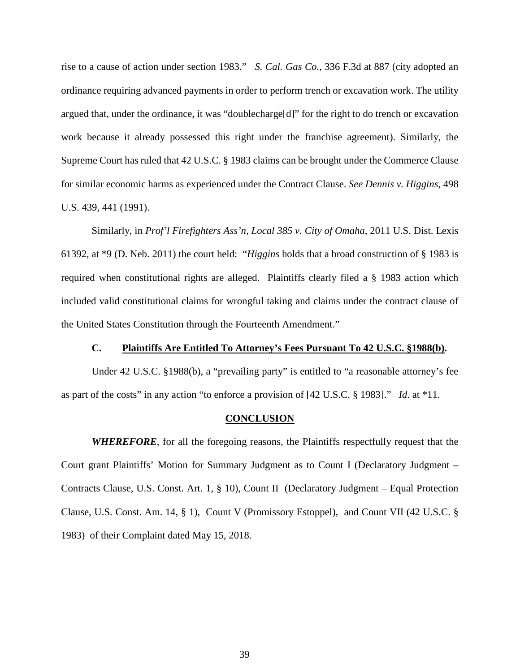rise to a cause of action under section 1983." *S. Cal. Gas Co.*, 336 F.3d at 887 (city adopted an ordinance requiring advanced payments in order to perform trench or excavation work. The utility argued that, under the ordinance, it was "doublecharge[d]" for the right to do trench or excavation work because it already possessed this right under the franchise agreement). Similarly, the Supreme Court has ruled that 42 U.S.C. § 1983 claims can be brought under the Commerce Clause for similar economic harms as experienced under the Contract Clause. *See Dennis v. Higgins*, 498 U.S. 439, 441 (1991).

Similarly, in *Prof'l Firefighters Ass'n, Local 385 v. City of Omaha*, 2011 U.S. Dist. Lexis 61392, at \*9 (D. Neb. 2011) the court held: "*Higgins* holds that a broad construction of § 1983 is required when constitutional rights are alleged. Plaintiffs clearly filed a § 1983 action which included valid constitutional claims for wrongful taking and claims under the contract clause of the United States Constitution through the Fourteenth Amendment."

### **C. Plaintiffs Are Entitled To Attorney's Fees Pursuant To 42 U.S.C. §1988(b).**

Under 42 U.S.C. §1988(b), a "prevailing party" is entitled to "a reasonable attorney's fee as part of the costs" in any action "to enforce a provision of [42 U.S.C. § 1983]." *Id*. at \*11.

#### **CONCLUSION**

*WHEREFORE*, for all the foregoing reasons, the Plaintiffs respectfully request that the Court grant Plaintiffs' Motion for Summary Judgment as to Count I (Declaratory Judgment – Contracts Clause, U.S. Const. Art. 1, § 10), Count II (Declaratory Judgment – Equal Protection Clause, U.S. Const. Am. 14, § 1), Count V (Promissory Estoppel), and Count VII (42 U.S.C. § 1983) of their Complaint dated May 15, 2018.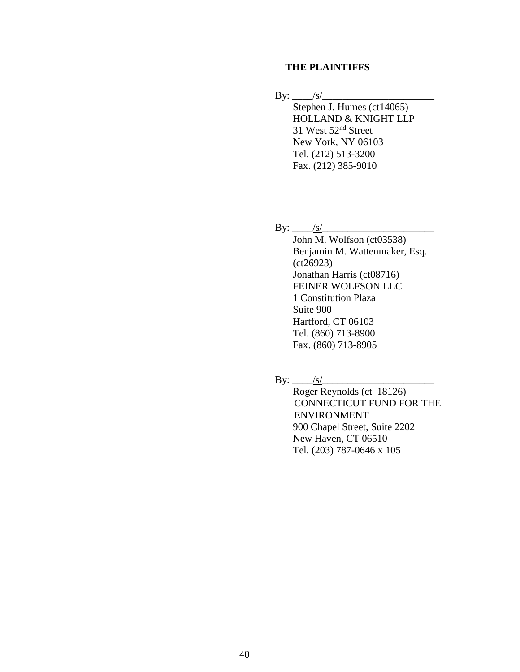# **THE PLAINTIFFS**

 $\text{By:}\_\_\!/s$ 

Stephen J. Humes (ct14065) HOLLAND & KNIGHT LLP 31 West 52nd Street New York, NY 06103 Tel. (212) 513-3200 Fax. (212) 385-9010

By:  $\angle$  s/

John M. Wolfson (ct03538) Benjamin M. Wattenmaker, Esq. (ct26923) Jonathan Harris (ct08716) FEINER WOLFSON LLC 1 Constitution Plaza Suite 900 Hartford, CT 06103 Tel. (860) 713-8900 Fax. (860) 713-8905

 $\text{By:}\_\_\_\/s/$ 

Roger Reynolds (ct 18126) CONNECTICUT FUND FOR THE ENVIRONMENT 900 Chapel Street, Suite 2202 New Haven, CT 06510 Tel. (203) 787-0646 x 105